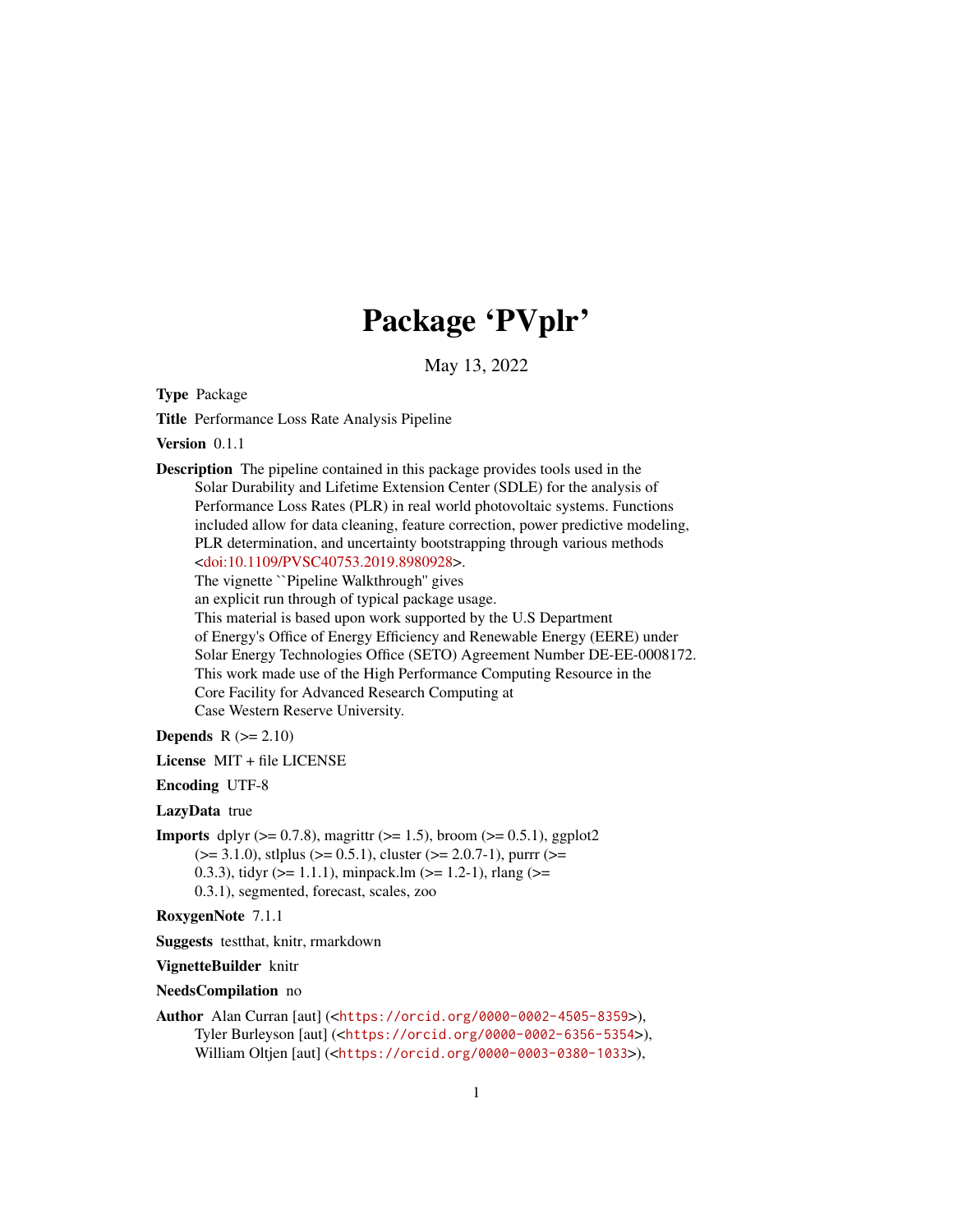# Package 'PVplr'

May 13, 2022

Type Package

Title Performance Loss Rate Analysis Pipeline

Version 0.1.1

Description The pipeline contained in this package provides tools used in the Solar Durability and Lifetime Extension Center (SDLE) for the analysis of Performance Loss Rates (PLR) in real world photovoltaic systems. Functions included allow for data cleaning, feature correction, power predictive modeling, PLR determination, and uncertainty bootstrapping through various methods [<doi:10.1109/PVSC40753.2019.8980928>](https://doi.org/10.1109/PVSC40753.2019.8980928).

The vignette ``Pipeline Walkthrough'' gives

an explicit run through of typical package usage.

This material is based upon work supported by the U.S Department of Energy's Office of Energy Efficiency and Renewable Energy (EERE) under Solar Energy Technologies Office (SETO) Agreement Number DE-EE-0008172. This work made use of the High Performance Computing Resource in the Core Facility for Advanced Research Computing at Case Western Reserve University.

Depends  $R (= 2.10)$ 

License MIT + file LICENSE

Encoding UTF-8

LazyData true

**Imports** dplyr ( $>= 0.7.8$ ), magrittr ( $>= 1.5$ ), broom ( $>= 0.5.1$ ), ggplot2  $(>= 3.1.0)$ , stlplus  $(>= 0.5.1)$ , cluster  $(>= 2.0.7-1)$ , purrr  $(>= 1.5.1)$ 0.3.3), tidyr ( $>= 1.1.1$ ), minpack.lm ( $>= 1.2-1$ ), rlang ( $>= 0.3.3$ ) 0.3.1), segmented, forecast, scales, zoo

RoxygenNote 7.1.1

Suggests testthat, knitr, rmarkdown

VignetteBuilder knitr

NeedsCompilation no

Author Alan Curran [aut] (<<https://orcid.org/0000-0002-4505-8359>>), Tyler Burleyson [aut] (<<https://orcid.org/0000-0002-6356-5354>>), William Oltjen [aut] (<<https://orcid.org/0000-0003-0380-1033>>),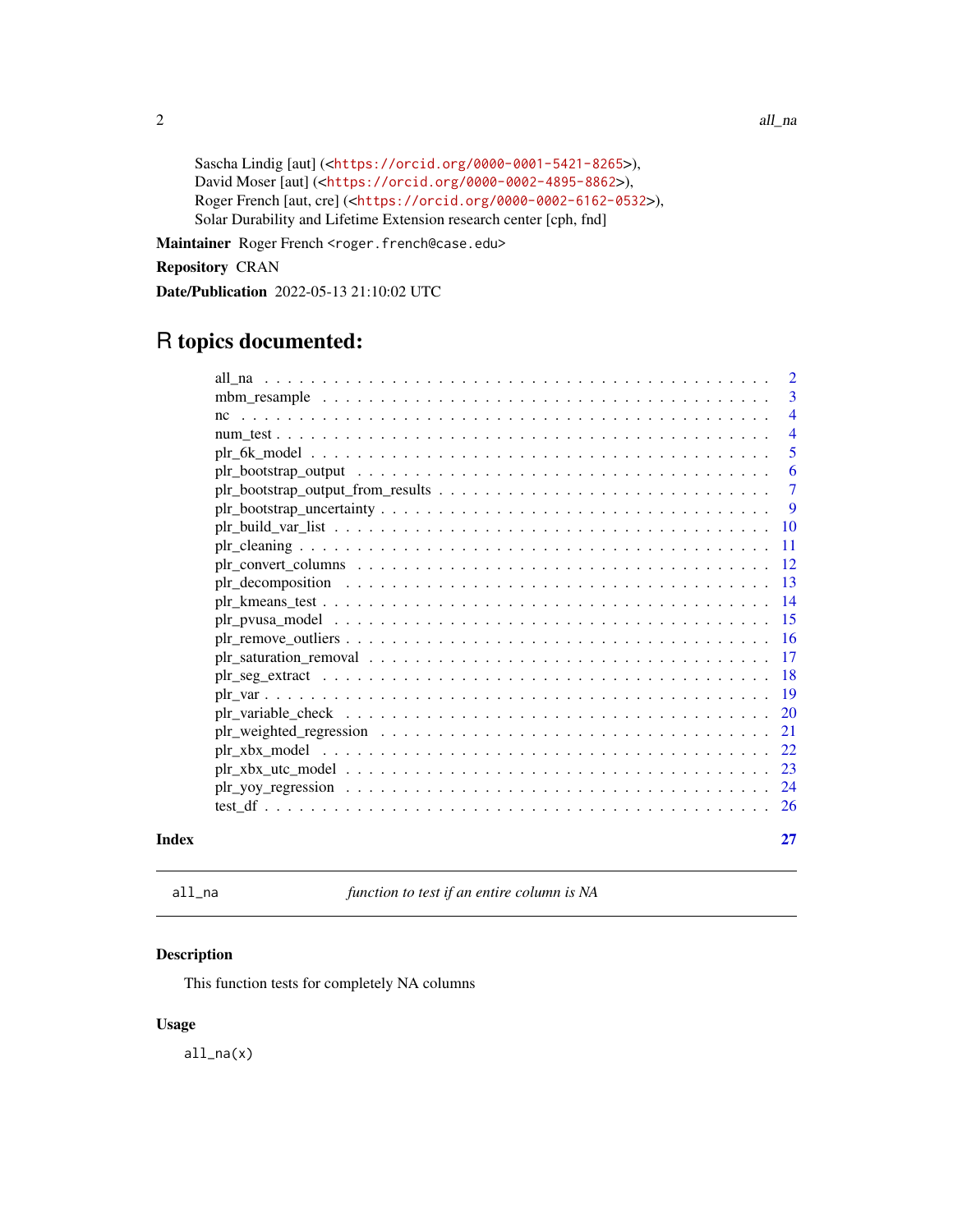```
Sascha Lindig [aut] (<https://orcid.org/0000-0001-5421-8265>),
David Moser [aut] (<https://orcid.org/0000-0002-4895-8862>),
Roger French [aut, cre] (<https://orcid.org/0000-0002-6162-0532>),
Solar Durability and Lifetime Extension research center [cph, fnd]
```
Maintainer Roger French <roger.french@case.edu>

Repository CRAN

Date/Publication 2022-05-13 21:10:02 UTC

# R topics documented:

| Index |                                                                                                                                         | 27             |
|-------|-----------------------------------------------------------------------------------------------------------------------------------------|----------------|
|       |                                                                                                                                         |                |
|       |                                                                                                                                         |                |
|       |                                                                                                                                         | -23            |
|       |                                                                                                                                         | 22             |
|       |                                                                                                                                         | 21             |
|       |                                                                                                                                         | 20             |
|       |                                                                                                                                         |                |
|       |                                                                                                                                         | -18            |
|       |                                                                                                                                         |                |
|       |                                                                                                                                         |                |
|       |                                                                                                                                         |                |
|       |                                                                                                                                         | -14            |
|       | $\text{plr}\_$ decomposition $\ldots \ldots \ldots \ldots \ldots \ldots \ldots \ldots \ldots \ldots \ldots \ldots \ldots$               | -13            |
|       | $\text{ph}\_ \text{convert}\_ \text{columns} \dots \dots \dots \dots \dots \dots \dots \dots \dots \dots \dots \dots \dots \dots \dots$ | -12            |
|       |                                                                                                                                         | -11            |
|       |                                                                                                                                         | 10             |
|       |                                                                                                                                         | 9              |
|       |                                                                                                                                         | $\overline{7}$ |
|       |                                                                                                                                         | 6              |
|       |                                                                                                                                         | 5              |
|       |                                                                                                                                         | $\overline{4}$ |
|       |                                                                                                                                         | $\overline{4}$ |
|       |                                                                                                                                         | 3              |
|       |                                                                                                                                         | 2              |

all\_na *function to test if an entire column is NA*

# Description

This function tests for completely NA columns

# Usage

all\_na(x)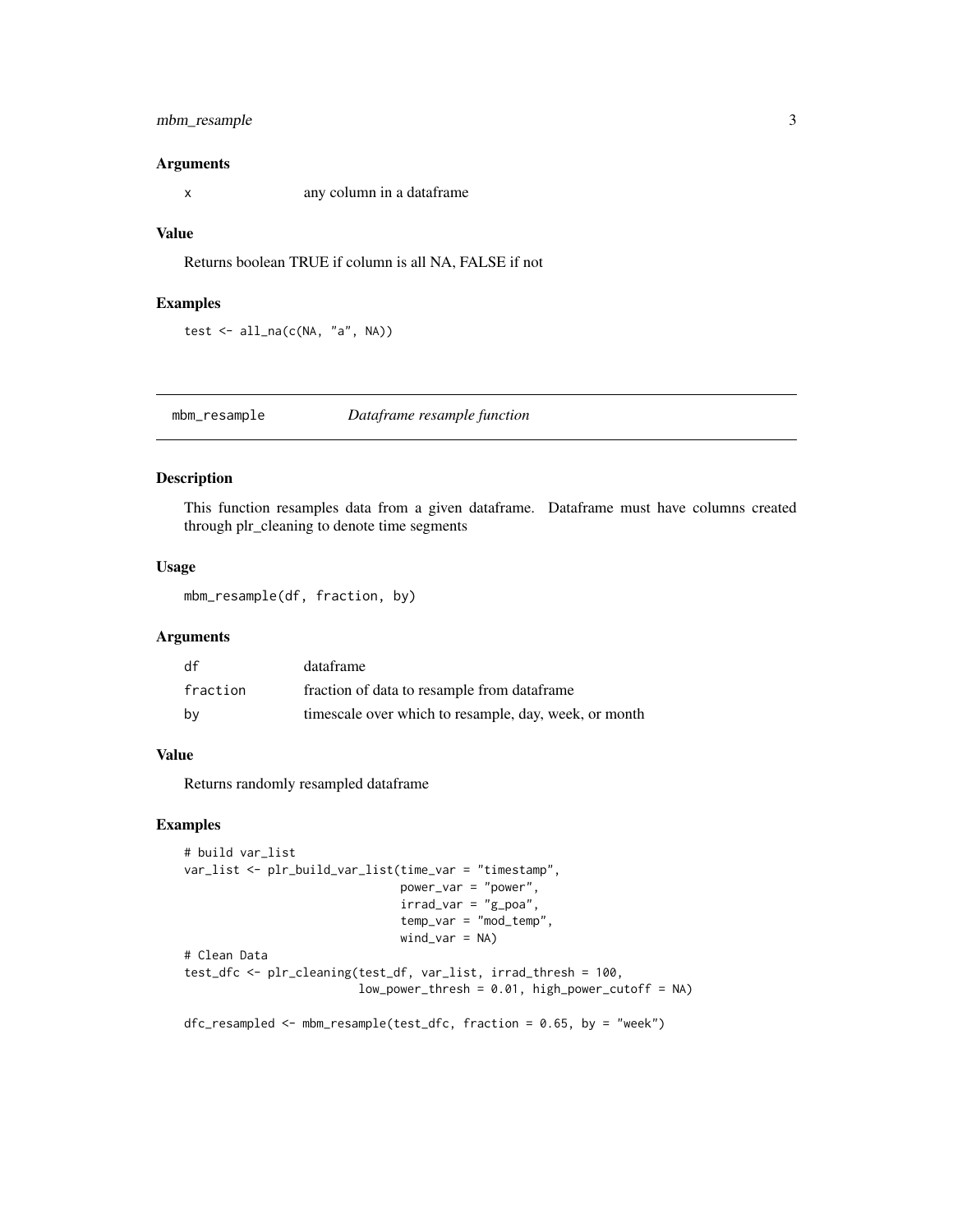# <span id="page-2-0"></span>mbm\_resample 3

# Arguments

x any column in a dataframe

# Value

Returns boolean TRUE if column is all NA, FALSE if not

#### Examples

test  $\le$  all\_na( $c(NA, 'a'', NA)$ )

mbm\_resample *Dataframe resample function*

# Description

This function resamples data from a given dataframe. Dataframe must have columns created through plr\_cleaning to denote time segments

## Usage

mbm\_resample(df, fraction, by)

#### Arguments

| df       | dataframe                                             |
|----------|-------------------------------------------------------|
| fraction | fraction of data to resample from dataframe           |
| bv       | timescale over which to resample, day, week, or month |

# Value

Returns randomly resampled dataframe

```
# build var_list
var_list <- plr_build_var_list(time_var = "timestamp",
                               power_var = "power",
                               irrad\_var = "g\_poa",temp_var = "mod_temp",
                               wind_var = NA)
# Clean Data
test_dfc <- plr_cleaning(test_df, var_list, irrad_thresh = 100,
                         low_power_thresh = 0.01, high_power_cutoff = NA)
dfc_resampled <- mbm_resample(test_dfc, fraction = 0.65, by = "week")
```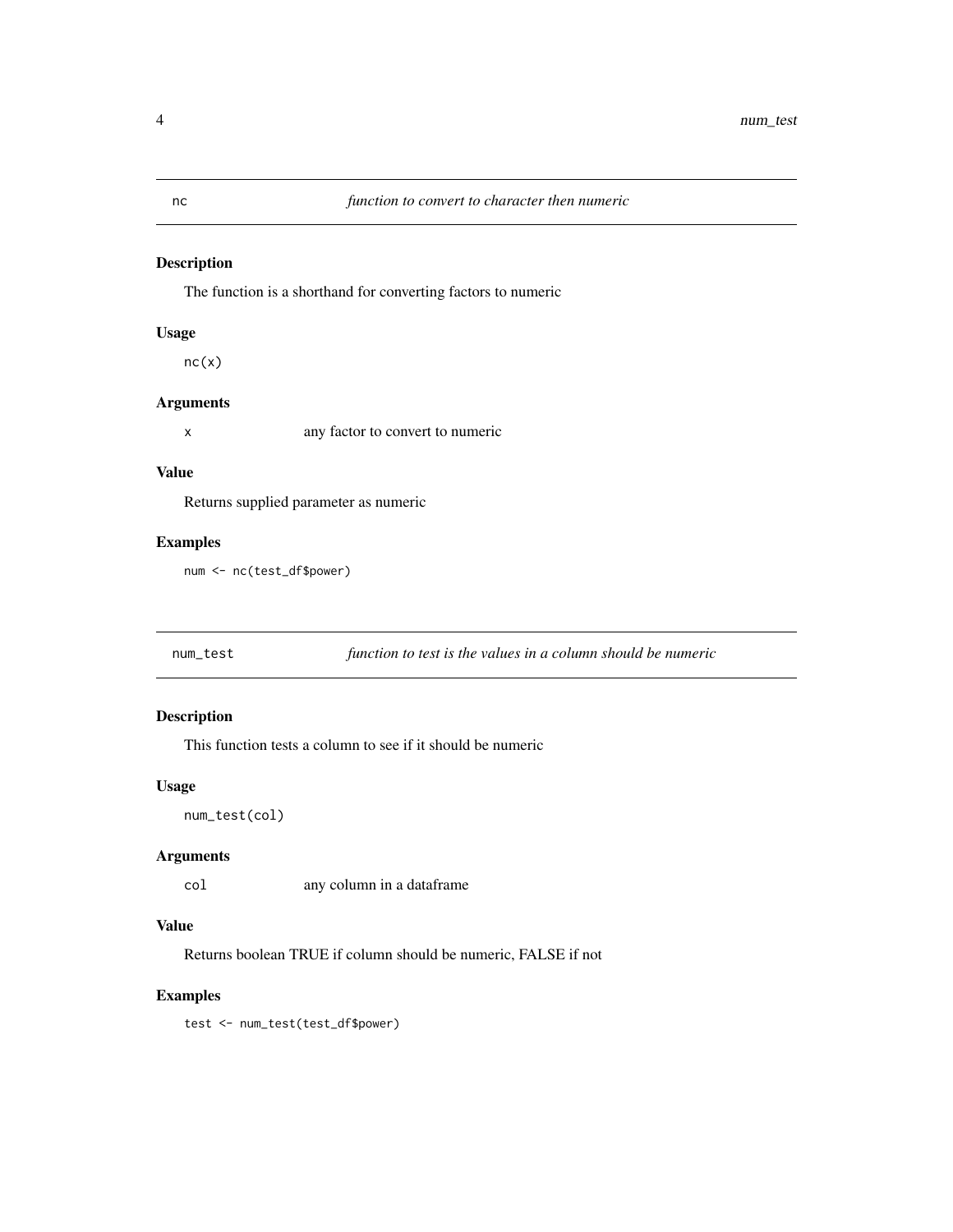# Description

The function is a shorthand for converting factors to numeric

# Usage

 $nc(x)$ 

# Arguments

x any factor to convert to numeric

# Value

Returns supplied parameter as numeric

# Examples

num <- nc(test\_df\$power)

num\_test *function to test is the values in a column should be numeric*

# Description

This function tests a column to see if it should be numeric

# Usage

num\_test(col)

# Arguments

col any column in a dataframe

# Value

Returns boolean TRUE if column should be numeric, FALSE if not

# Examples

test <- num\_test(test\_df\$power)

<span id="page-3-0"></span>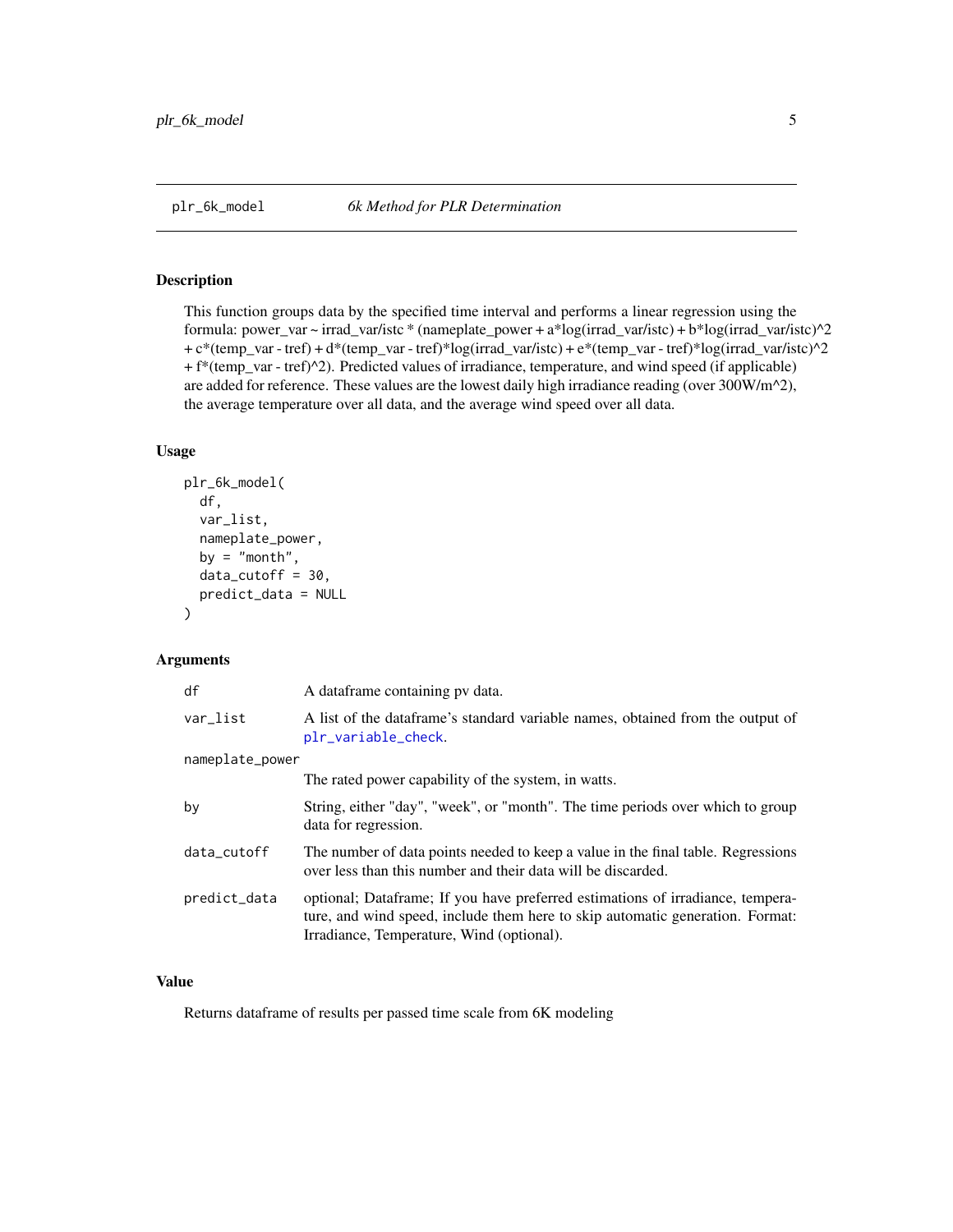<span id="page-4-1"></span><span id="page-4-0"></span>

# Description

This function groups data by the specified time interval and performs a linear regression using the formula: power\_var ~ irrad\_var/istc \* (nameplate\_power + a\*log(irrad\_var/istc) + b\*log(irrad\_var/istc)^2 + c\*(temp\_var - tref) + d\*(temp\_var - tref)\*log(irrad\_var/istc) + e\*(temp\_var - tref)\*log(irrad\_var/istc)^2 + f\*(temp\_var - tref)^2). Predicted values of irradiance, temperature, and wind speed (if applicable) are added for reference. These values are the lowest daily high irradiance reading (over 300W/m<sup>^2</sup>), the average temperature over all data, and the average wind speed over all data.

## Usage

```
plr_6k_model(
  df,
  var_list,
 nameplate_power,
 by = "month",
 data_cutoff = 30,predict_data = NULL
)
```
#### Arguments

| A dataframe containing pv data.                                                                                                                                                                              |
|--------------------------------------------------------------------------------------------------------------------------------------------------------------------------------------------------------------|
| A list of the dataframe's standard variable names, obtained from the output of<br>plr_variable_check.                                                                                                        |
|                                                                                                                                                                                                              |
| The rated power capability of the system, in watts.                                                                                                                                                          |
| String, either "day", "week", or "month". The time periods over which to group<br>data for regression.                                                                                                       |
| The number of data points needed to keep a value in the final table. Regressions<br>over less than this number and their data will be discarded.                                                             |
| optional; Dataframe; If you have preferred estimations of irradiance, tempera-<br>ture, and wind speed, include them here to skip automatic generation. Format:<br>Irradiance, Temperature, Wind (optional). |
|                                                                                                                                                                                                              |

# Value

Returns dataframe of results per passed time scale from 6K modeling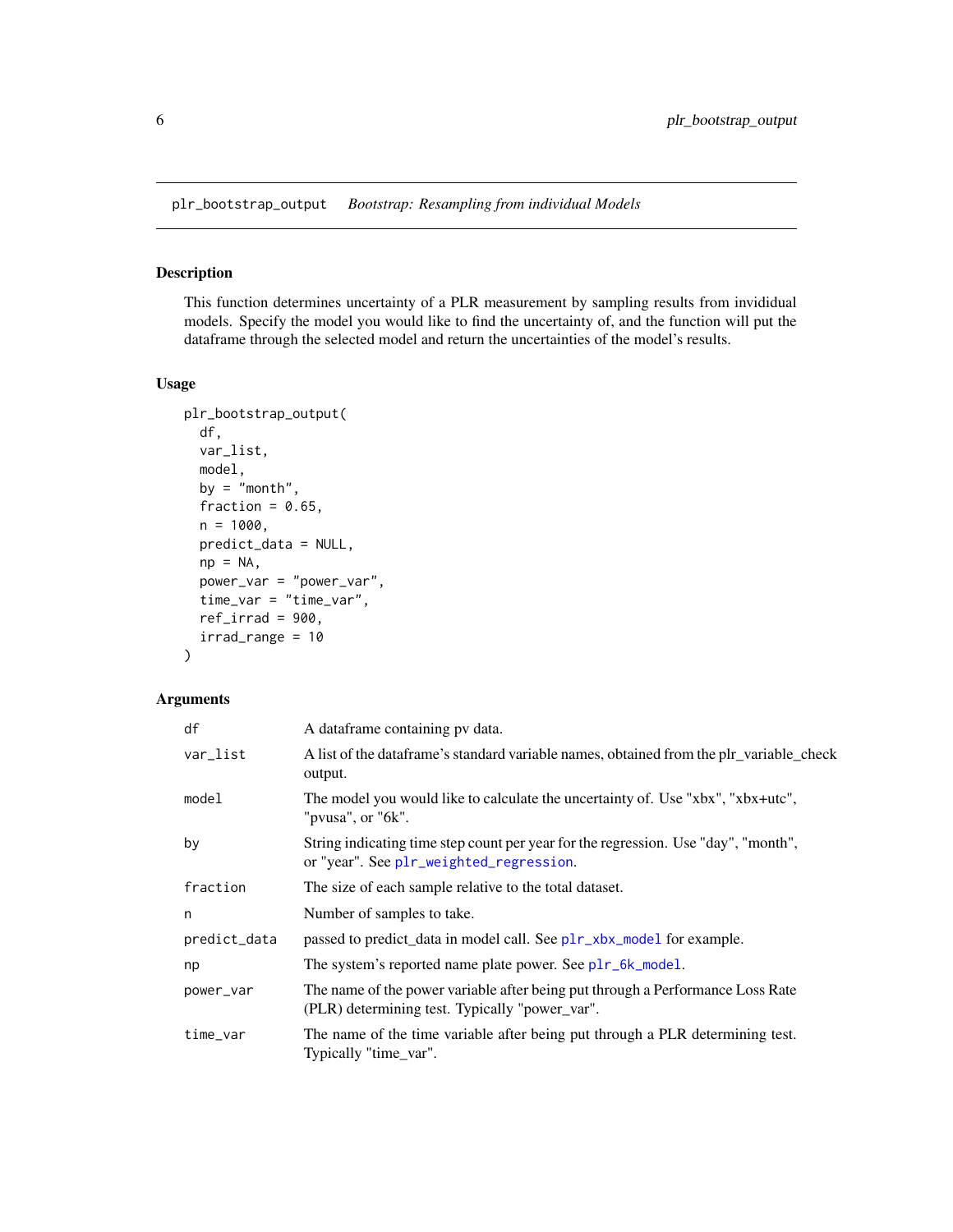<span id="page-5-0"></span>plr\_bootstrap\_output *Bootstrap: Resampling from individual Models*

# Description

This function determines uncertainty of a PLR measurement by sampling results from invididual models. Specify the model you would like to find the uncertainty of, and the function will put the dataframe through the selected model and return the uncertainties of the model's results.

# Usage

```
plr_bootstrap_output(
  df,
  var_list,
 model,
 by = "month",fraction = 0.65,
  n = 1000.
 predict_data = NULL,
  np = NA,
 power_var = "power_var",
  time_var = "time_var",
  ref\_irrad = 900,irrad_range = 10
\mathcal{E}
```
# Arguments

| df           | A dataframe containing pv data.                                                                                                  |
|--------------|----------------------------------------------------------------------------------------------------------------------------------|
| var_list     | A list of the data frame's standard variable names, obtained from the plr_variable_check<br>output.                              |
| model        | The model you would like to calculate the uncertainty of. Use "xbx", "xbx+utc",<br>"pvusa", or " $6k$ ".                         |
| by           | String indicating time step count per year for the regression. Use "day", "month",<br>or "year". See plr_weighted_regression.    |
| fraction     | The size of each sample relative to the total dataset.                                                                           |
| n            | Number of samples to take.                                                                                                       |
| predict_data | passed to predict_data in model call. See plr_xbx_model for example.                                                             |
| np           | The system's reported name plate power. See plr_6k_model.                                                                        |
| power_var    | The name of the power variable after being put through a Performance Loss Rate<br>(PLR) determining test. Typically "power_var". |
| time_var     | The name of the time variable after being put through a PLR determining test.<br>Typically "time_var".                           |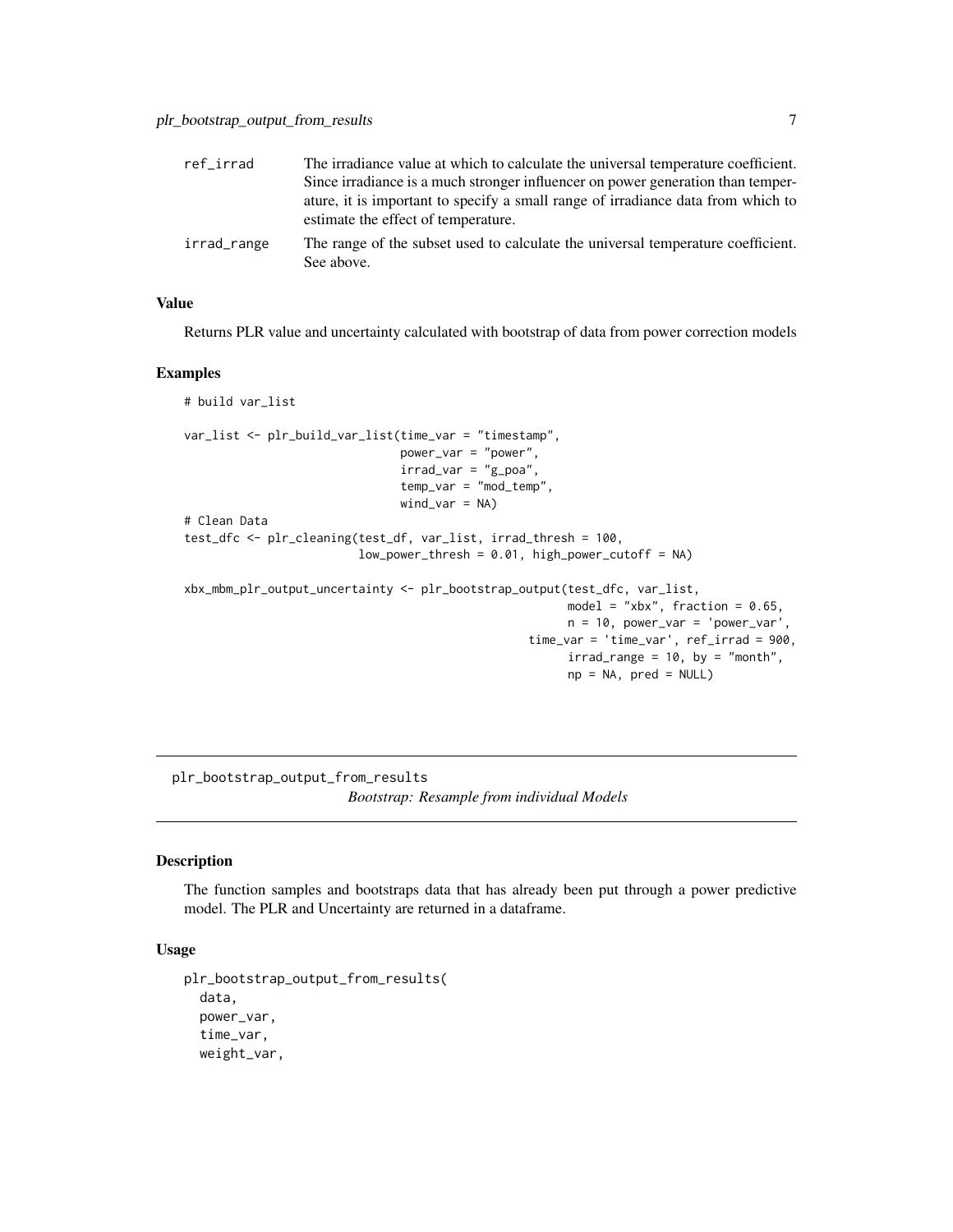<span id="page-6-0"></span>

| ref irrad   | The irradiance value at which to calculate the universal temperature coefficient.                                       |
|-------------|-------------------------------------------------------------------------------------------------------------------------|
|             | Since irradiance is a much stronger influencer on power generation than temper-                                         |
|             | ature, it is important to specify a small range of irradiance data from which to<br>estimate the effect of temperature. |
| irrad_range | The range of the subset used to calculate the universal temperature coefficient.<br>See above.                          |

#### Value

Returns PLR value and uncertainty calculated with bootstrap of data from power correction models

#### Examples

```
# build var_list
var_list <- plr_build_var_list(time_var = "timestamp",
                               power_var = "power",
                               irrad\_var = "g\_poa",temp_var = "mod_temp",
                               wind\_var = NA)# Clean Data
test_dfc <- plr_cleaning(test_df, var_list, irrad_thresh = 100,
                         low\_power\_thresh = 0.01, high_power_cutoff = NA)
xbx_mbm_plr_output_uncertainty <- plr_bootstrap_output(test_dfc, var_list,
                                                       model = "xbx", fraction = 0.65,
                                                       n = 10, power_var = 'power_var'
                                                  time_var = 'time_var', ref_irrad = 900,
                                                        irrad_range = 10, by = "month",
                                                        np = NA, pred = NULL)
```
plr\_bootstrap\_output\_from\_results *Bootstrap: Resample from individual Models*

# Description

The function samples and bootstraps data that has already been put through a power predictive model. The PLR and Uncertainty are returned in a dataframe.

# Usage

```
plr_bootstrap_output_from_results(
  data,
  power_var,
  time_var,
  weight_var,
```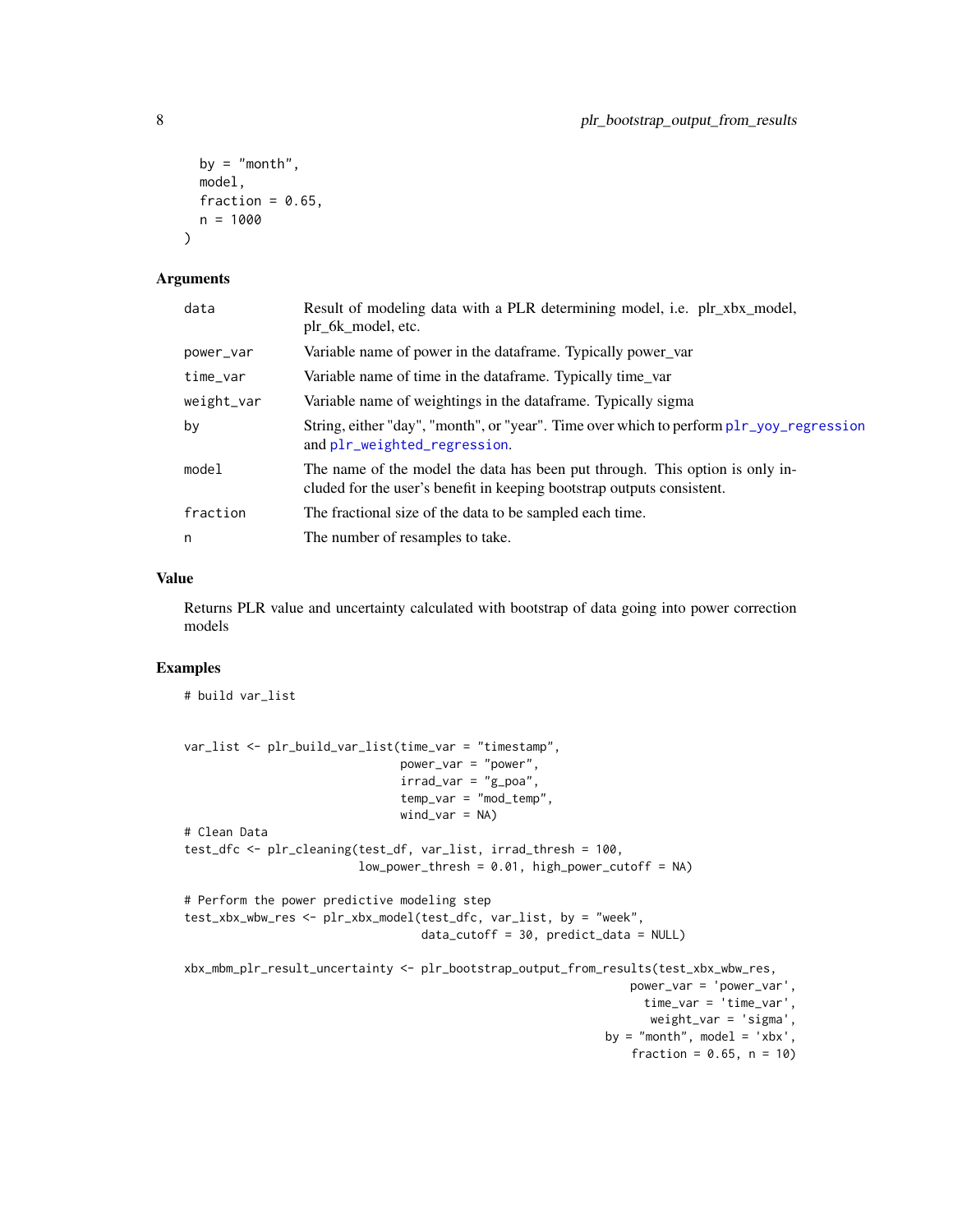```
by = "month",
 model,
 fraction = 0.65,
 n = 1000\lambda
```
#### Arguments

| data       | Result of modeling data with a PLR determining model, i.e. plr_xbx_model,<br>plr_6k_model, etc.                                                        |
|------------|--------------------------------------------------------------------------------------------------------------------------------------------------------|
| power_var  | Variable name of power in the dataframe. Typically power_var                                                                                           |
| time_var   | Variable name of time in the dataframe. Typically time var                                                                                             |
| weight_var | Variable name of weightings in the dataframe. Typically sigma                                                                                          |
| by         | String, either "day", "month", or "year". Time over which to perform plr_yoy_regression<br>and plr_weighted_regression.                                |
| model      | The name of the model the data has been put through. This option is only in-<br>cluded for the user's benefit in keeping bootstrap outputs consistent. |
| fraction   | The fractional size of the data to be sampled each time.                                                                                               |
| n          | The number of resamples to take.                                                                                                                       |

#### Value

Returns PLR value and uncertainty calculated with bootstrap of data going into power correction models

# Examples

# build var\_list

```
var_list <- plr_build_var_list(time_var = "timestamp",
                               power_var = "power",
                               irrad\_var = "g\_poa",temp_var = "mod_temp",
                               wind\_var = NA)# Clean Data
test_dfc <- plr_cleaning(test_df, var_list, irrad_thresh = 100,
                         low\_power\_thresh = 0.01, high\_power\_cutoff = NA# Perform the power predictive modeling step
test_xbx_wbw_res <- plr_xbx_model(test_dfc, var_list, by = "week",
                                  data_cutoff = 30, predict_data = NULL)
xbx_mbm_plr_result_uncertainty <- plr_bootstrap_output_from_results(test_xbx_wbw_res,
                                                                power_var = 'power_var',
                                                                  time_var = 'time_var',
                                                                   weight_var = 'sigma',
                                                             by = "month", model = 'xbx',
                                                                fraction = 0.65, n = 10)
```
<span id="page-7-0"></span>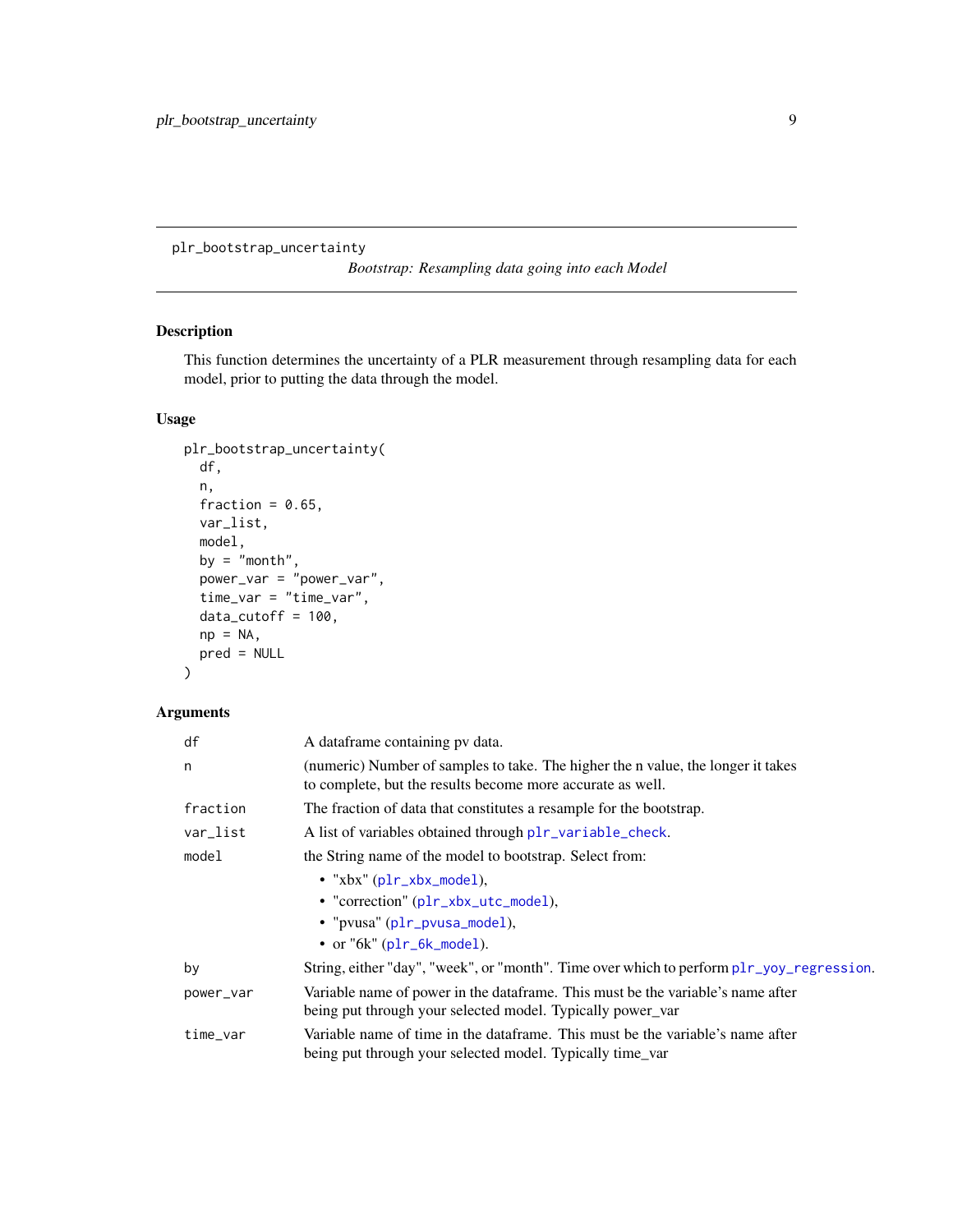<span id="page-8-0"></span>plr\_bootstrap\_uncertainty

*Bootstrap: Resampling data going into each Model*

# Description

This function determines the uncertainty of a PLR measurement through resampling data for each model, prior to putting the data through the model.

# Usage

```
plr_bootstrap_uncertainty(
 df,
 n,
 fraction = 0.65,
 var_list,
 model,
 by = "month",power_var = "power_var",
 time_var = "time_var",
 data_cutoff = 100,
 np = NA,
 pred = NULL
)
```
# Arguments

| df        | A dataframe containing pv data.                                                                                                                |
|-----------|------------------------------------------------------------------------------------------------------------------------------------------------|
| n         | (numeric) Number of samples to take. The higher the n value, the longer it takes<br>to complete, but the results become more accurate as well. |
| fraction  | The fraction of data that constitutes a resample for the bootstrap.                                                                            |
| var_list  | A list of variables obtained through plr_variable_check.                                                                                       |
| model     | the String name of the model to bootstrap. Select from:                                                                                        |
|           | • " $xbx$ " ( $p1r_xbx$ _model),                                                                                                               |
|           | • "correction" (plr_xbx_utc_model),                                                                                                            |
|           | • "pvusa" (plr_pvusa_model),                                                                                                                   |
|           | $\bullet$ or "6k" (plr_6k_model).                                                                                                              |
| by        | String, either "day", "week", or "month". Time over which to perform plr_yoy_regression.                                                       |
| power_var | Variable name of power in the dataframe. This must be the variable's name after<br>being put through your selected model. Typically power_var  |
| time_var  | Variable name of time in the dataframe. This must be the variable's name after<br>being put through your selected model. Typically time_var    |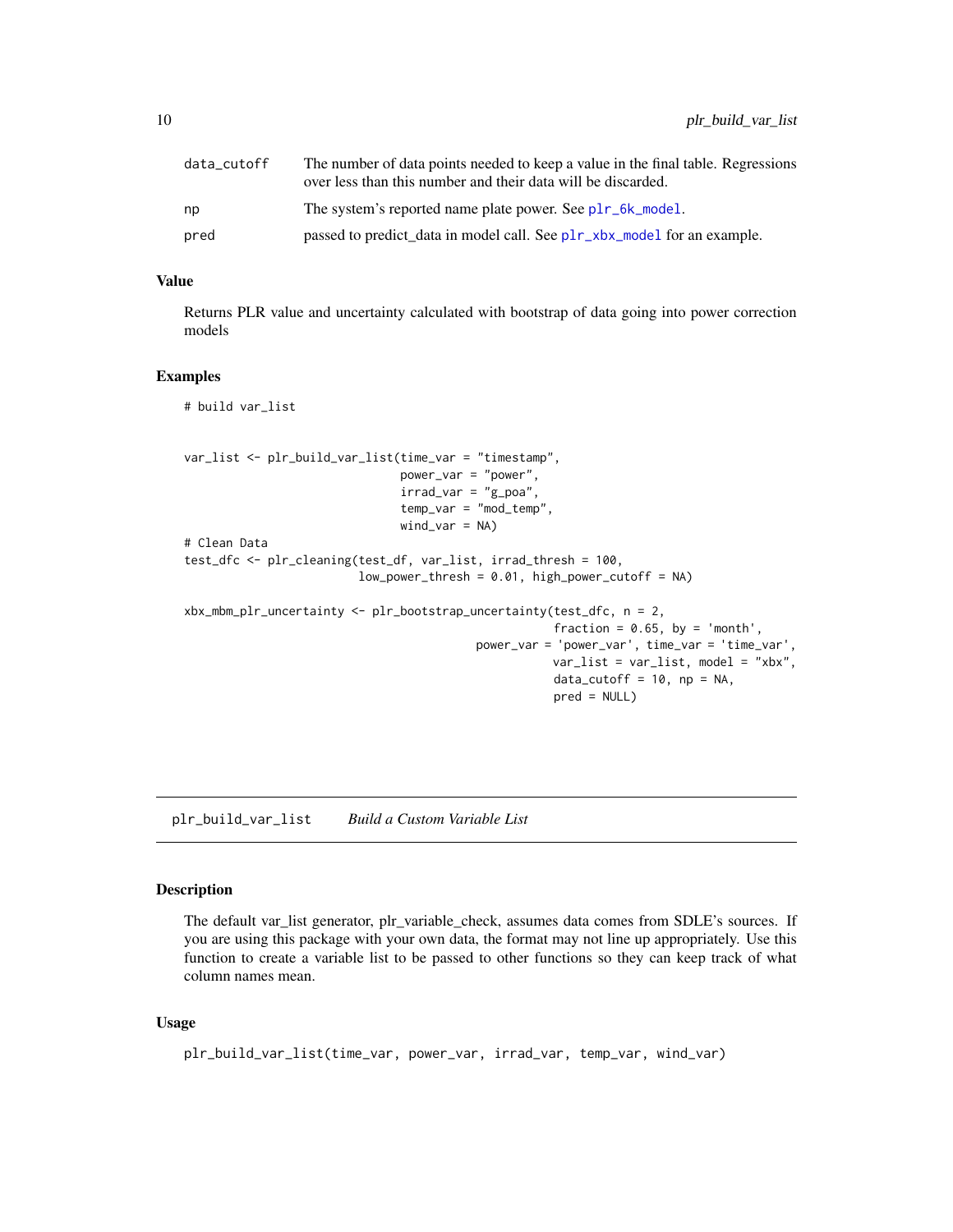<span id="page-9-0"></span>

| data_cutoff | The number of data points needed to keep a value in the final table. Regressions<br>over less than this number and their data will be discarded. |
|-------------|--------------------------------------------------------------------------------------------------------------------------------------------------|
| np          | The system's reported name plate power. See plr_6k_model.                                                                                        |
| pred        | passed to predict_data in model call. See plr_xbx_model for an example.                                                                          |

# Value

Returns PLR value and uncertainty calculated with bootstrap of data going into power correction models

# Examples

# build var\_list

```
var_list <- plr_build_var_list(time_var = "timestamp",
                               power_var = "power",
                               irrad\_var = "g\_poa",temp_var = "mod_temp",
                               wind_var = NA)
# Clean Data
test_dfc <- plr_cleaning(test_df, var_list, irrad_thresh = 100,
                         low\_power\_thresh = 0.01, high_power_cutoff = NA)
xbx_mbm_plr_uncertainty <- plr_bootstrap_uncertainty(test_dfc, n = 2,
                                                     fraction = 0.65, by = 'month',
                                          power_var = 'power_var', time_var = 'time_var',
                                                     var_list = var_list, model = "xbx".data_cutoff = 10, np = NA,
                                                     pred = NULL)
```
<span id="page-9-1"></span>plr\_build\_var\_list *Build a Custom Variable List*

# Description

The default var\_list generator, plr\_variable\_check, assumes data comes from SDLE's sources. If you are using this package with your own data, the format may not line up appropriately. Use this function to create a variable list to be passed to other functions so they can keep track of what column names mean.

#### Usage

```
plr_build_var_list(time_var, power_var, irrad_var, temp_var, wind_var)
```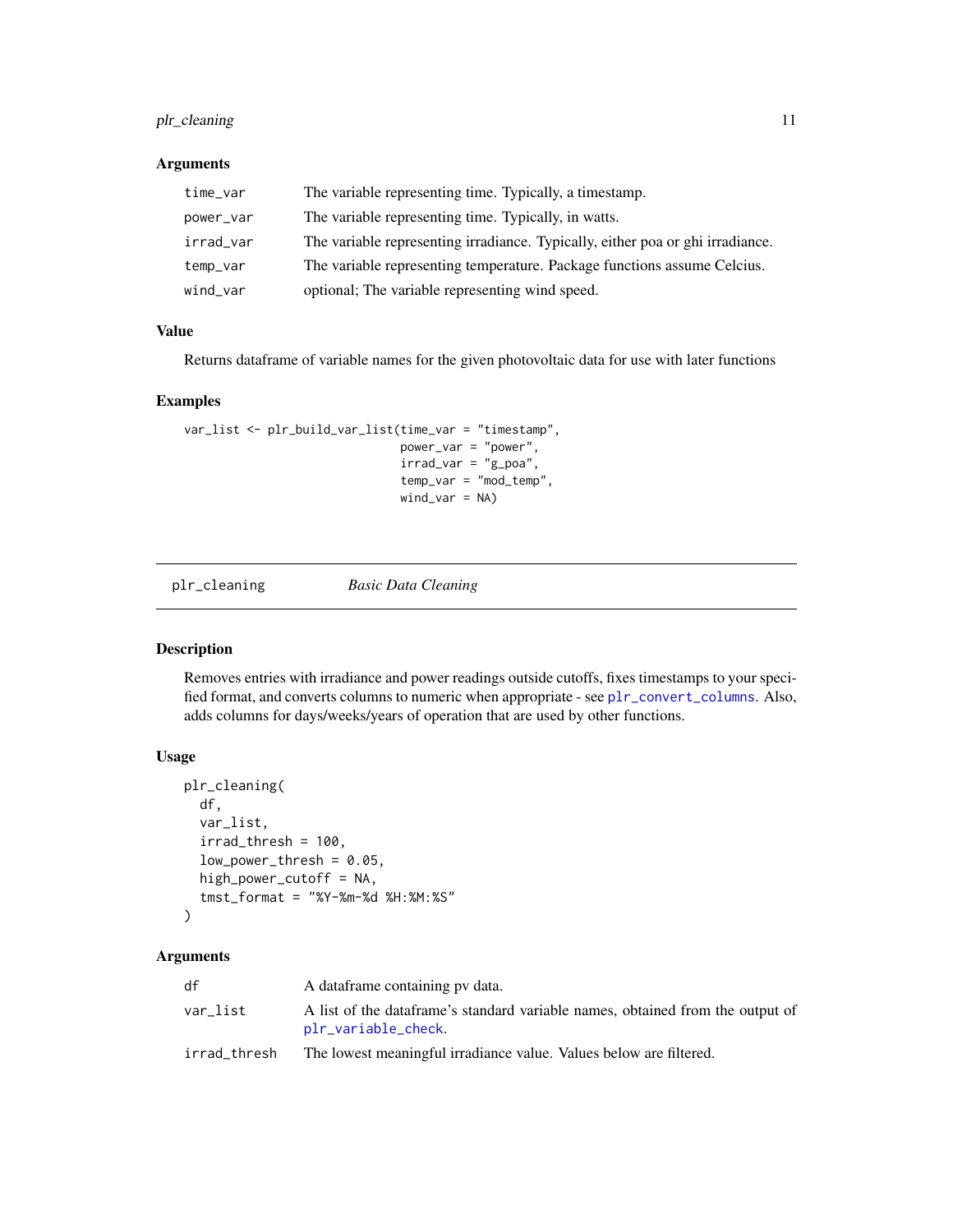# <span id="page-10-0"></span>plr\_cleaning 11

# Arguments

| time_var  | The variable representing time. Typically, a timestamp.                        |
|-----------|--------------------------------------------------------------------------------|
| power_var | The variable representing time. Typically, in watts.                           |
| irrad_var | The variable representing irradiance. Typically, either poa or ghi irradiance. |
| temp_var  | The variable representing temperature. Package functions assume Celcius.       |
| wind_var  | optional; The variable representing wind speed.                                |

# Value

Returns dataframe of variable names for the given photovoltaic data for use with later functions

# Examples

```
var_list <- plr_build_var_list(time_var = "timestamp",
                               power_var = "power",
                               irrad\_var = "g\_poa",temp_var = "mod_temp",
                               wind\_var = NA)
```
<span id="page-10-1"></span>

plr\_cleaning *Basic Data Cleaning*

# Description

Removes entries with irradiance and power readings outside cutoffs, fixes timestamps to your specified format, and converts columns to numeric when appropriate - see [plr\\_convert\\_columns](#page-11-1). Also, adds columns for days/weeks/years of operation that are used by other functions.

# Usage

```
plr_cleaning(
  df,
  var_list,
  irrad_{th}resh = 100,
  low-power_{\text{thresh}} = 0.05,
  high_power_cutoff = NA,
  tmst_format = "%Y-%m-%d %H:%M:%S"
)
```
#### Arguments

| df           | A dataframe containing py data.                                                                       |
|--------------|-------------------------------------------------------------------------------------------------------|
| var_list     | A list of the dataframe's standard variable names, obtained from the output of<br>plr_variable_check. |
| irrad_thresh | The lowest meaningful irradiance value. Values below are filtered.                                    |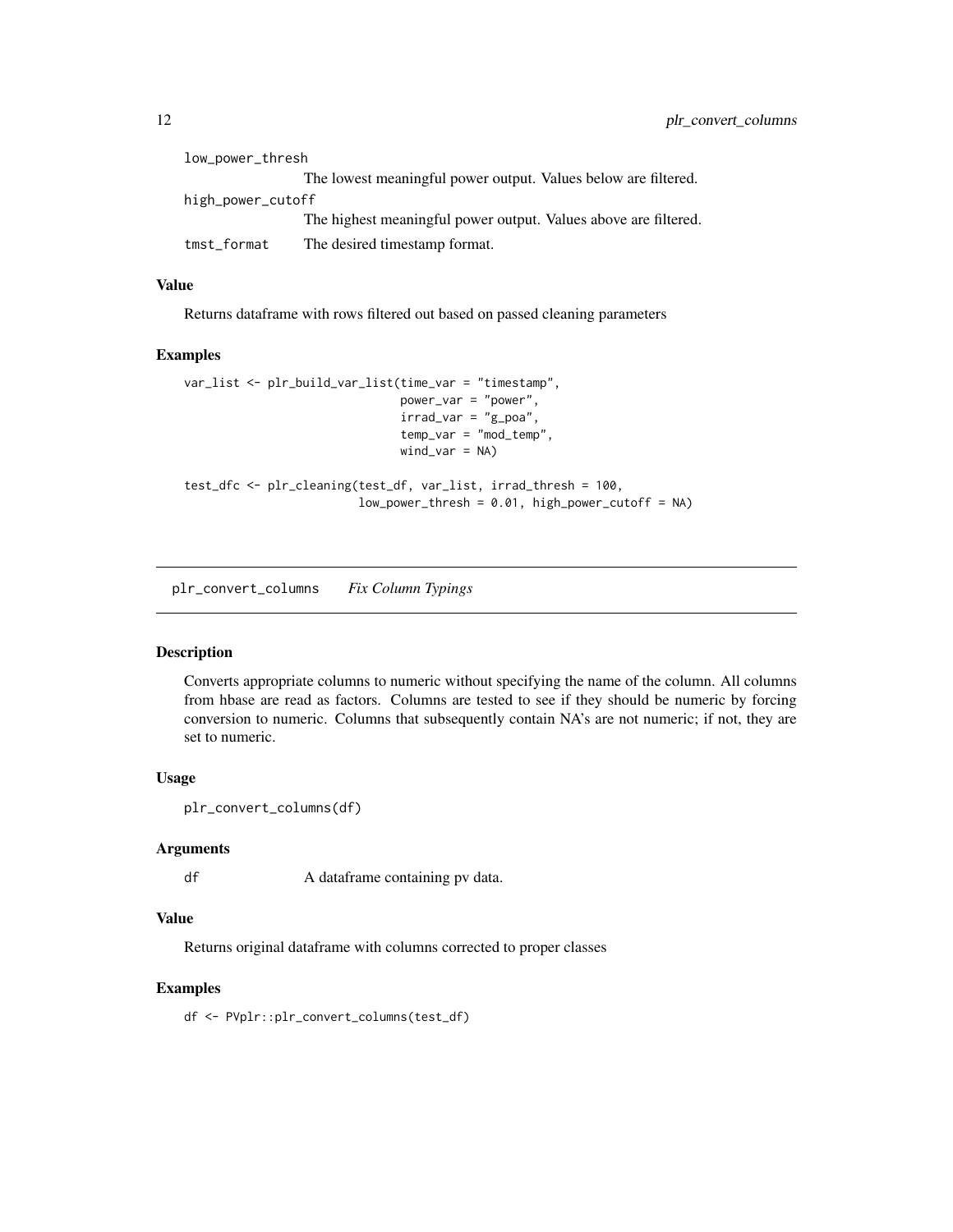<span id="page-11-0"></span>

| low_power_thresh  |                                                                 |  |
|-------------------|-----------------------------------------------------------------|--|
|                   | The lowest meaningful power output. Values below are filtered.  |  |
| high_power_cutoff |                                                                 |  |
|                   | The highest meaningful power output. Values above are filtered. |  |
| tmst_format       | The desired timestamp format.                                   |  |

# Value

Returns dataframe with rows filtered out based on passed cleaning parameters

## Examples

```
var_list <- plr_build_var_list(time_var = "timestamp",
                               power_var = "power",
                               irrad\_var = "g\_poa",temp_var = "mod_temp",
                               wind_var = NA)
test_dfc <- plr_cleaning(test_df, var_list, irrad_thresh = 100,
                         low_power_thresh = 0.01, high_power_cutoff = NA)
```
<span id="page-11-1"></span>plr\_convert\_columns *Fix Column Typings*

# Description

Converts appropriate columns to numeric without specifying the name of the column. All columns from hbase are read as factors. Columns are tested to see if they should be numeric by forcing conversion to numeric. Columns that subsequently contain NA's are not numeric; if not, they are set to numeric.

# Usage

```
plr_convert_columns(df)
```
#### Arguments

df A dataframe containing pv data.

#### Value

Returns original dataframe with columns corrected to proper classes

### Examples

df <- PVplr::plr\_convert\_columns(test\_df)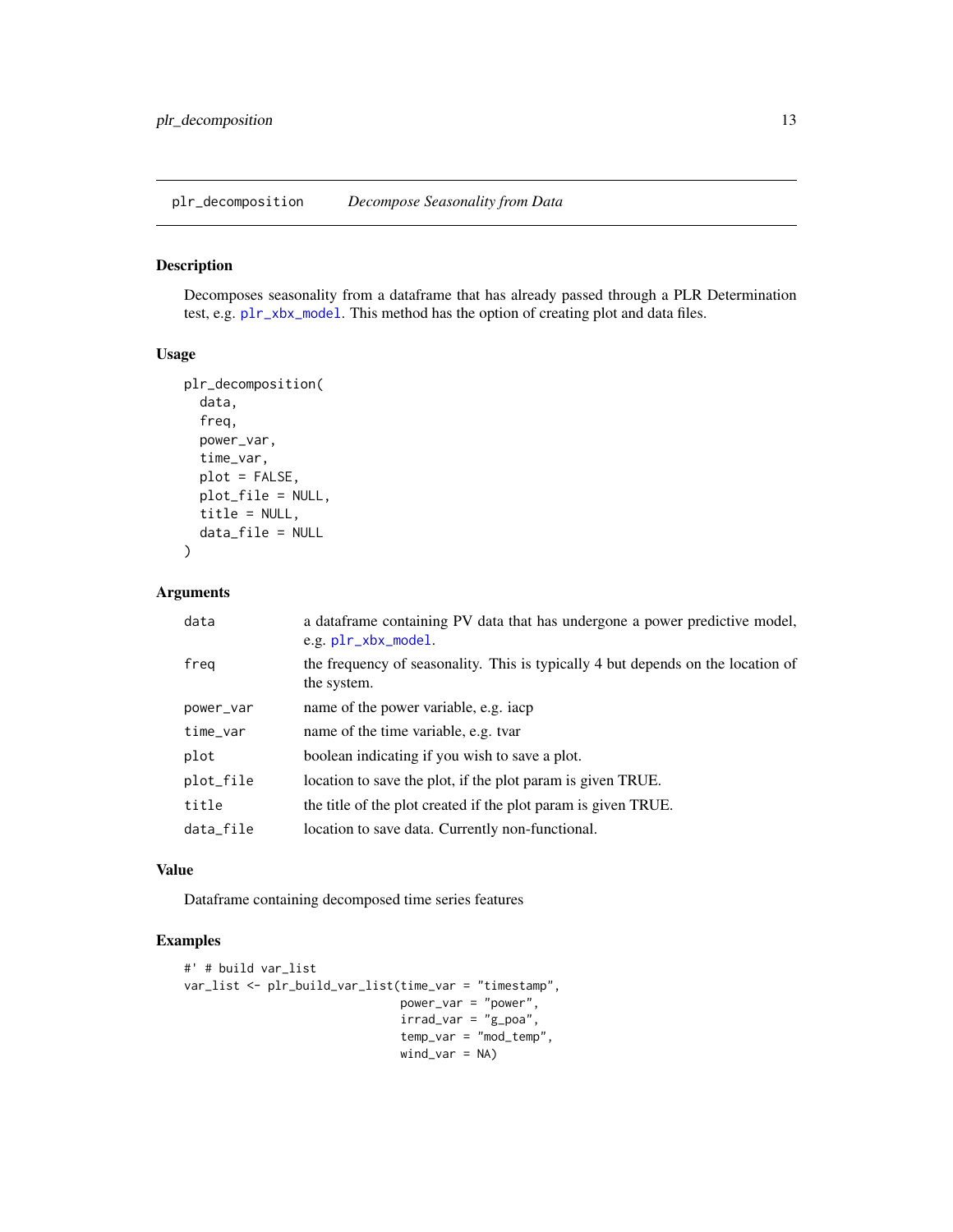<span id="page-12-0"></span>plr\_decomposition *Decompose Seasonality from Data*

# Description

Decomposes seasonality from a dataframe that has already passed through a PLR Determination test, e.g. [plr\\_xbx\\_model](#page-21-1). This method has the option of creating plot and data files.

#### Usage

```
plr_decomposition(
  data,
  freq,
 power_var,
  time_var,
 plot = FALSE,
 plot_file = NULL,
  title = NULL,
  data_file = NULL
)
```
# Arguments

| data      | a data frame containing PV data that has undergone a power predictive model,<br>e.g. plr_xbx_model. |
|-----------|-----------------------------------------------------------------------------------------------------|
| freg      | the frequency of seasonality. This is typically 4 but depends on the location of<br>the system.     |
| power_var | name of the power variable, e.g. iacp                                                               |
| time_var  | name of the time variable, e.g. tvar                                                                |
| plot      | boolean indicating if you wish to save a plot.                                                      |
| plot_file | location to save the plot, if the plot param is given TRUE.                                         |
| title     | the title of the plot created if the plot param is given TRUE.                                      |
| data_file | location to save data. Currently non-functional.                                                    |

#### Value

Dataframe containing decomposed time series features

```
#' # build var_list
var_list <- plr_build_var_list(time_var = "timestamp",
                               power_var = "power",
                               irrad\_var = "g\_poa",temp_var = "mod_temp",
                               wind_var = NA)
```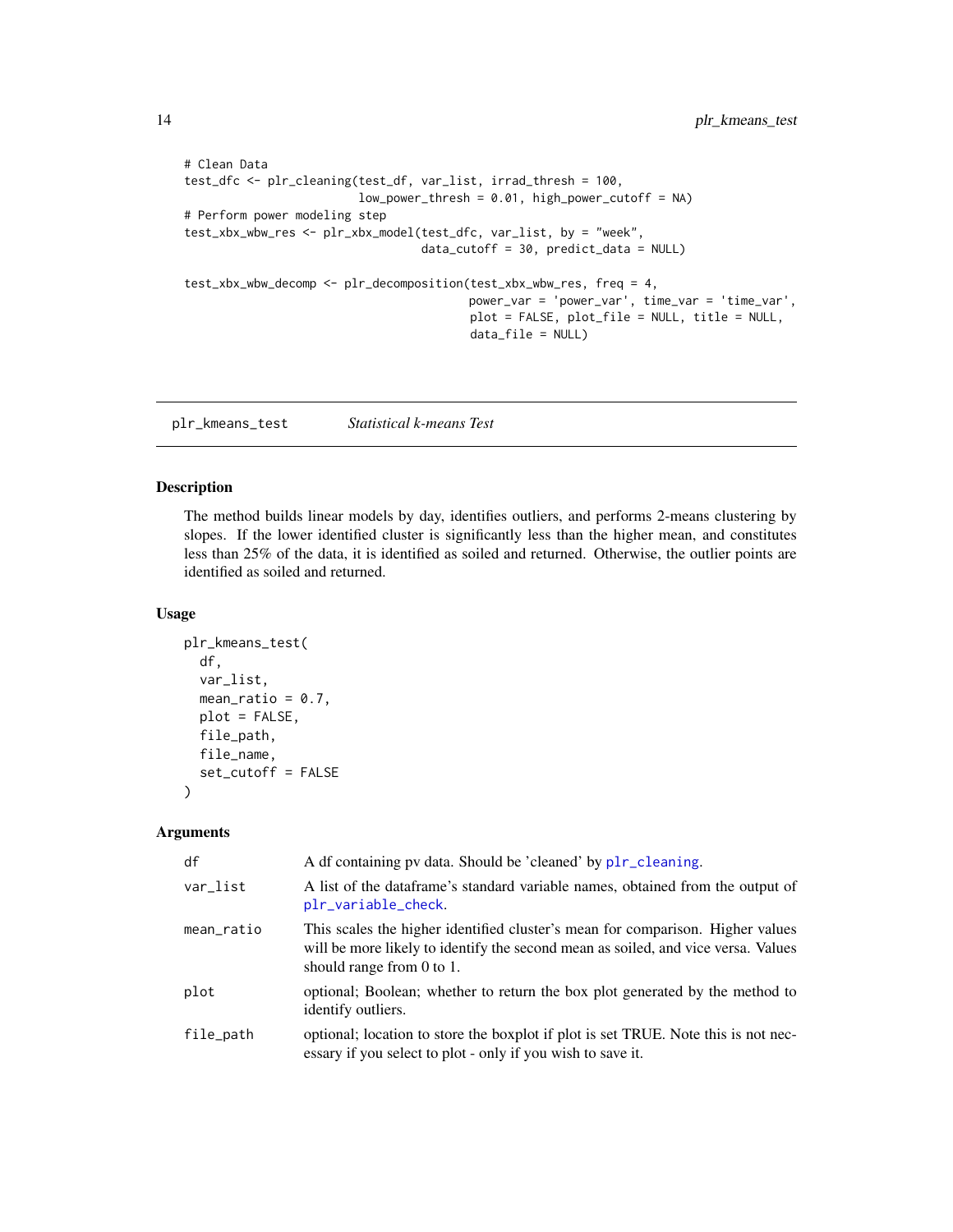```
# Clean Data
test_dfc <- plr_cleaning(test_df, var_list, irrad_thresh = 100,
                         low\_power\_thresh = 0.01, high\_power\_cutoff = NA)
# Perform power modeling step
test_xbx_wbw_res <- plr_xbx_model(test_dfc, var_list, by = "week",
                                  data_cutoff = 30, predict_data = NULL)
test_xbx_wbw_decomp <- plr_decomposition(test_xbx_wbw_res, freq = 4,
                                         power_var = 'power_var', time_var = 'time_var',
                                         plot = FALSE, plot_file = NULL, title = NULL,
                                         data_file = NULL)
```
plr\_kmeans\_test *Statistical k-means Test*

# Description

The method builds linear models by day, identifies outliers, and performs 2-means clustering by slopes. If the lower identified cluster is significantly less than the higher mean, and constitutes less than 25% of the data, it is identified as soiled and returned. Otherwise, the outlier points are identified as soiled and returned.

#### Usage

```
plr_kmeans_test(
  df,
  var_list,
  mean_ratio = 0.7,
 plot = FALSE,
  file_path,
  file_name,
  set_cutoff = FALSE
)
```
#### Arguments

| df         | A df containing pv data. Should be 'cleaned' by plr_cleaning.                                                                                                                                    |
|------------|--------------------------------------------------------------------------------------------------------------------------------------------------------------------------------------------------|
| var_list   | A list of the data frame's standard variable names, obtained from the output of<br>plr_variable_check.                                                                                           |
| mean_ratio | This scales the higher identified cluster's mean for comparison. Higher values<br>will be more likely to identify the second mean as soiled, and vice versa. Values<br>should range from 0 to 1. |
| plot       | optional; Boolean; whether to return the box plot generated by the method to<br>identify outliers.                                                                                               |
| file_path  | optional; location to store the boxplot if plot is set TRUE. Note this is not nec-<br>essary if you select to plot - only if you wish to save it.                                                |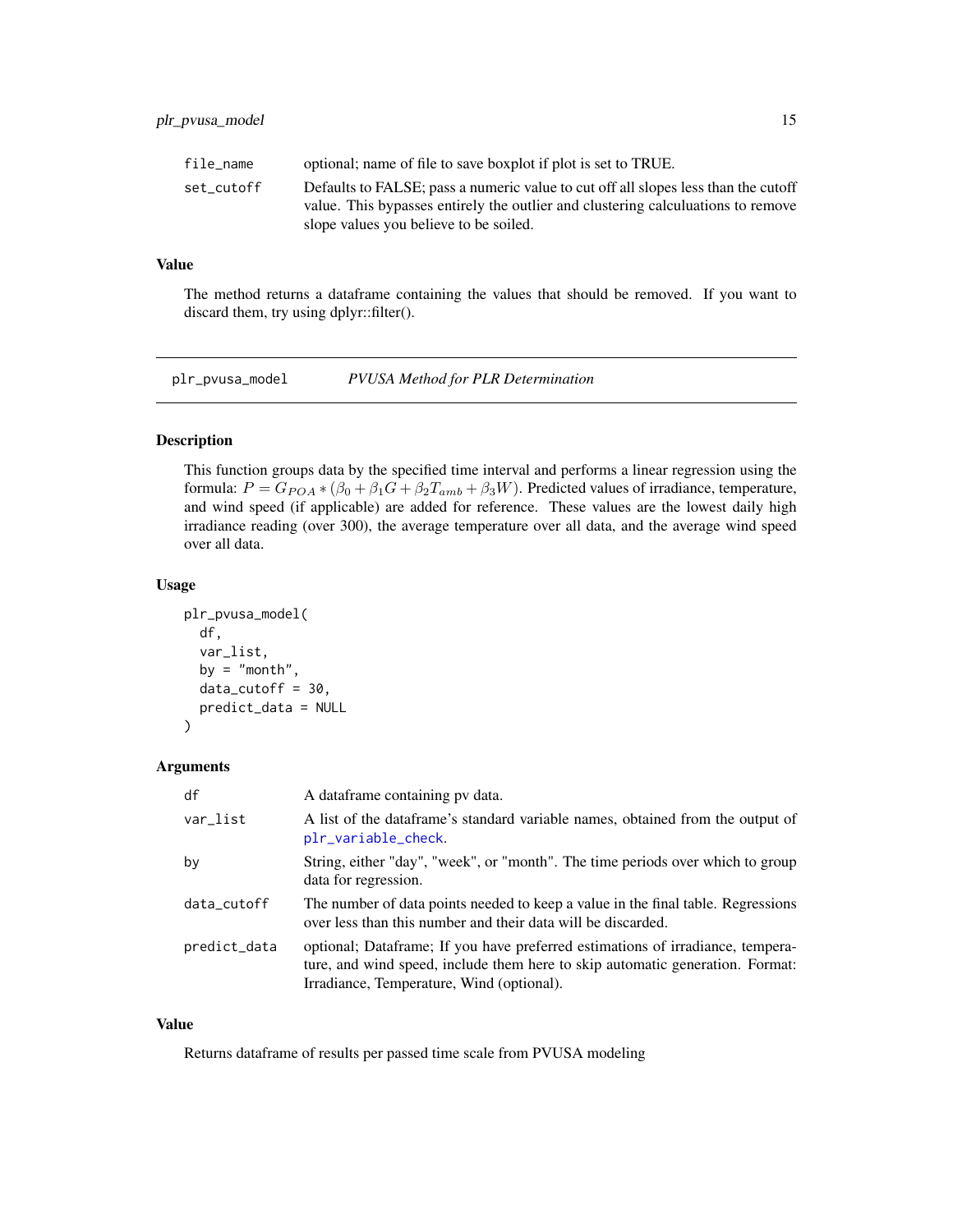<span id="page-14-0"></span>

| file name  | optional; name of file to save boxplot if plot is set to TRUE.                                                             |
|------------|----------------------------------------------------------------------------------------------------------------------------|
| set cutoff | Defaults to FALSE; pass a numeric value to cut off all slopes less than the cutoff                                         |
|            | value. This bypasses entirely the outlier and clustering calculuations to remove<br>slope values you believe to be soiled. |

# Value

The method returns a dataframe containing the values that should be removed. If you want to discard them, try using dplyr::filter().

<span id="page-14-1"></span>plr\_pvusa\_model *PVUSA Method for PLR Determination*

# Description

This function groups data by the specified time interval and performs a linear regression using the formula:  $P = G_{POA} * (\beta_0 + \beta_1 G + \beta_2 T_{amb} + \beta_3 W)$ . Predicted values of irradiance, temperature, and wind speed (if applicable) are added for reference. These values are the lowest daily high irradiance reading (over 300), the average temperature over all data, and the average wind speed over all data.

#### Usage

```
plr_pvusa_model(
  df,
  var_list,
 by = "month",
  data_cutoff = 30,predict_data = NULL
)
```
# Arguments

| df           | A dataframe containing pv data.                                                                                                                                                                              |
|--------------|--------------------------------------------------------------------------------------------------------------------------------------------------------------------------------------------------------------|
| var_list     | A list of the dataframe's standard variable names, obtained from the output of<br>plr_variable_check.                                                                                                        |
| by           | String, either "day", "week", or "month". The time periods over which to group<br>data for regression.                                                                                                       |
| data_cutoff  | The number of data points needed to keep a value in the final table. Regressions<br>over less than this number and their data will be discarded.                                                             |
| predict_data | optional; Dataframe; If you have preferred estimations of irradiance, tempera-<br>ture, and wind speed, include them here to skip automatic generation. Format:<br>Irradiance, Temperature, Wind (optional). |

# Value

Returns dataframe of results per passed time scale from PVUSA modeling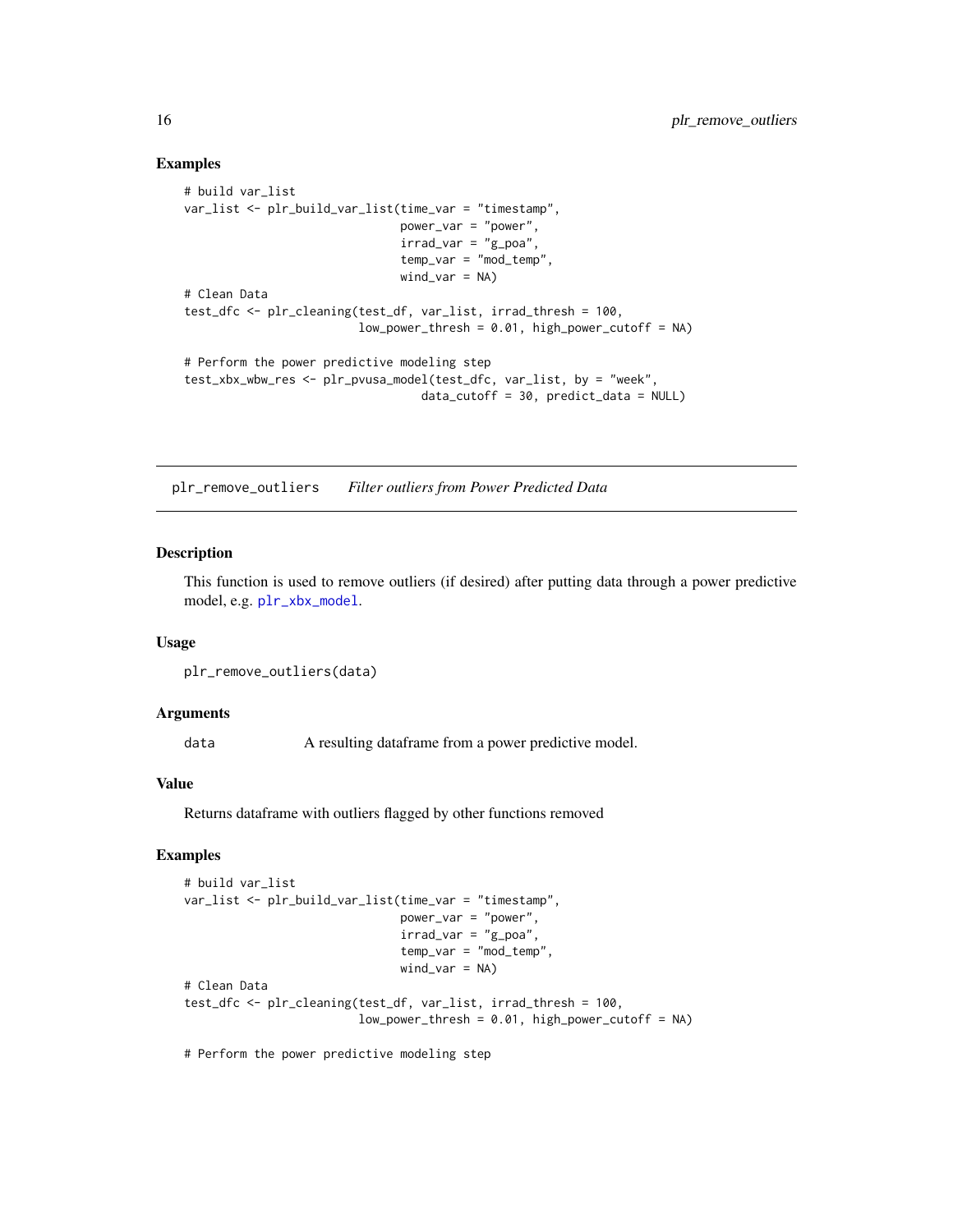#### Examples

```
# build var_list
var_list <- plr_build_var_list(time_var = "timestamp",
                               power_var = "power",
                               irrad\_var = "g\_poa",temp_var = "mod_temp",
                               wind\_var = NA)# Clean Data
test_dfc <- plr_cleaning(test_df, var_list, irrad_thresh = 100,
                         low\_power\_thresh = 0.01, high_power_cutoff = NA)
# Perform the power predictive modeling step
test_xbx_wbw_res <- plr_pvusa_model(test_dfc, var_list, by = "week",
                                  data_cutoff = 30, predict_data = NULL)
```
plr\_remove\_outliers *Filter outliers from Power Predicted Data*

#### Description

This function is used to remove outliers (if desired) after putting data through a power predictive model, e.g. [plr\\_xbx\\_model](#page-21-1).

### Usage

plr\_remove\_outliers(data)

#### Arguments

data A resulting dataframe from a power predictive model.

#### Value

Returns dataframe with outliers flagged by other functions removed

# Examples

```
# build var_list
var_list <- plr_build_var_list(time_var = "timestamp",
                               power_var = "power",
                                irrad\_var = "g\_poa",temp_var = "mod_temp",
                                wind\_var = NA)# Clean Data
test_dfc <- plr_cleaning(test_df, var_list, irrad_thresh = 100,
                         low\_power\_thresh = 0.01, high\_power\_cutoff = NA)
```
# Perform the power predictive modeling step

<span id="page-15-0"></span>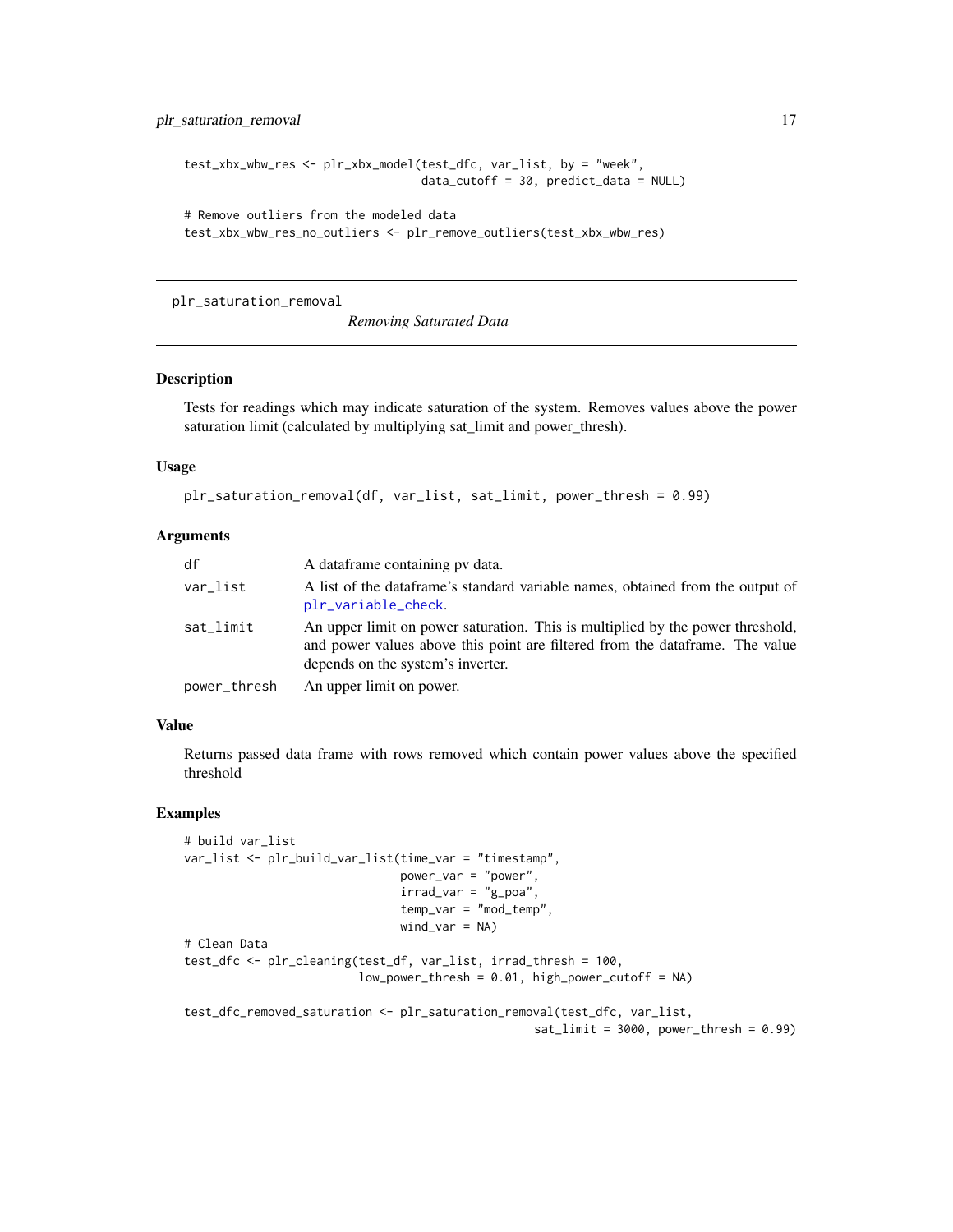<span id="page-16-0"></span>plr\_saturation\_removal 17

```
test_xbx_wbw_res <- plr_xbx_model(test_dfc, var_list, by = "week",
                                  data_cutoff = 30, predict_data = NULL)
# Remove outliers from the modeled data
test_xbx_wbw_res_no_outliers <- plr_remove_outliers(test_xbx_wbw_res)
```
plr\_saturation\_removal

*Removing Saturated Data*

# Description

Tests for readings which may indicate saturation of the system. Removes values above the power saturation limit (calculated by multiplying sat\_limit and power\_thresh).

#### Usage

```
plr_saturation_removal(df, var_list, sat_limit, power_thresh = 0.99)
```
# Arguments

| df           | A dataframe containing pv data.                                                                                                                                                                     |
|--------------|-----------------------------------------------------------------------------------------------------------------------------------------------------------------------------------------------------|
| var_list     | A list of the dataframe's standard variable names, obtained from the output of<br>plr_variable_check.                                                                                               |
| sat_limit    | An upper limit on power saturation. This is multiplied by the power threshold,<br>and power values above this point are filtered from the dataframe. The value<br>depends on the system's inverter. |
| power_thresh | An upper limit on power.                                                                                                                                                                            |

#### Value

Returns passed data frame with rows removed which contain power values above the specified threshold

```
# build var_list
var_list <- plr_build_var_list(time_var = "timestamp",
                               power_var = "power",
                               irrad\_var = "g\_poa",temp_var = "mod_temp",
                               wind\_var = NA)# Clean Data
test_dfc <- plr_cleaning(test_df, var_list, irrad_thresh = 100,
                         low\_power\_thresh = 0.01, high_power_cutoff = NA)
test_dfc_removed_saturation <- plr_saturation_removal(test_dfc, var_list,
                                                   sat\_limit = 3000, power_thresh = 0.99)
```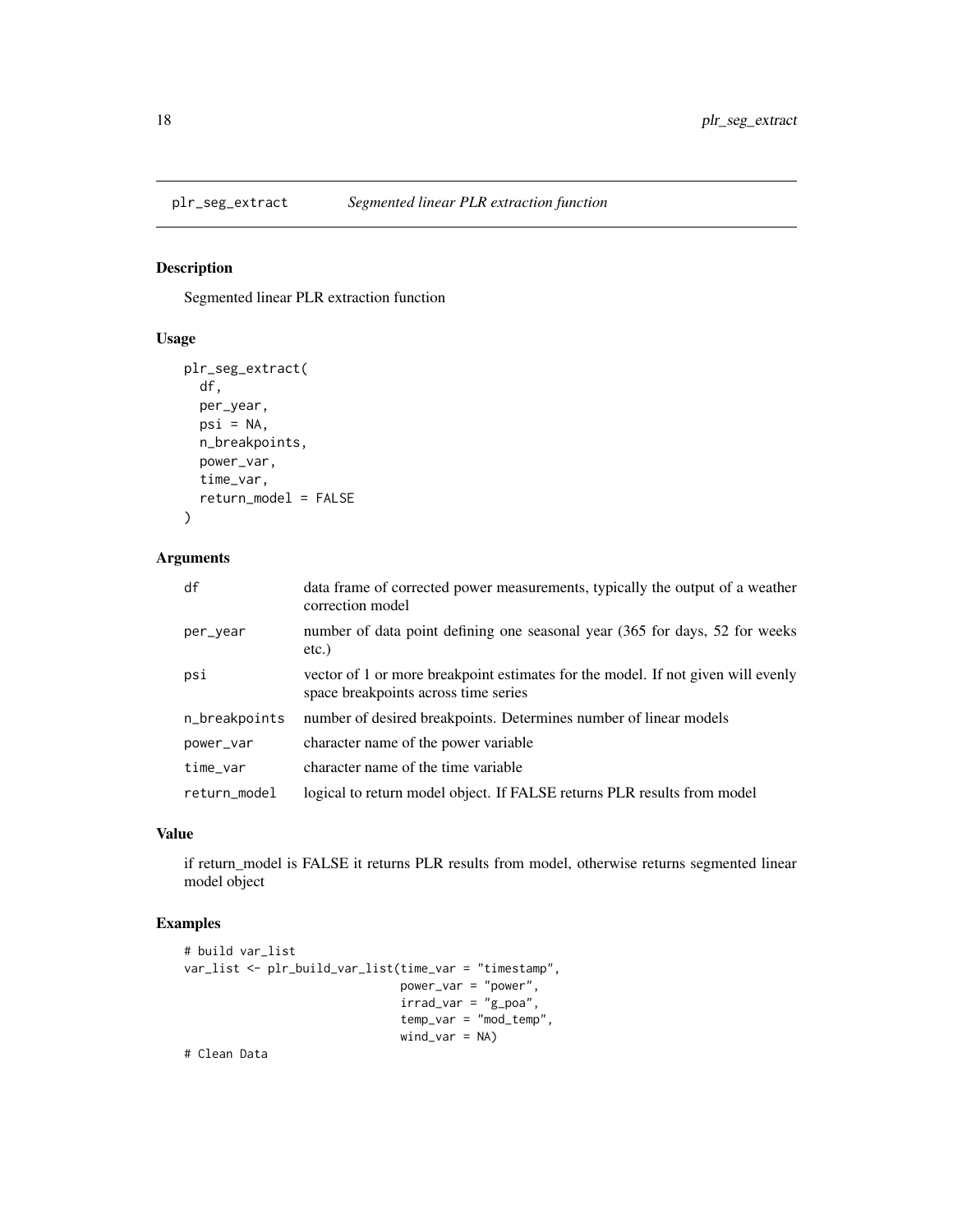<span id="page-17-0"></span>

# Description

Segmented linear PLR extraction function

# Usage

```
plr_seg_extract(
  df,
 per_year,
 psi = NA,
 n_breakpoints,
 power_var,
  time_var,
  return_model = FALSE
)
```
# Arguments

| df            | data frame of corrected power measurements, typically the output of a weather<br>correction model                        |
|---------------|--------------------------------------------------------------------------------------------------------------------------|
| per_year      | number of data point defining one seasonal year (365 for days, 52 for weeks<br>$etc.$ )                                  |
| psi           | vector of 1 or more breakpoint estimates for the model. If not given will evenly<br>space breakpoints across time series |
| n_breakpoints | number of desired breakpoints. Determines number of linear models                                                        |
| power_var     | character name of the power variable                                                                                     |
| time_var      | character name of the time variable                                                                                      |
| return_model  | logical to return model object. If FALSE returns PLR results from model                                                  |

# Value

if return\_model is FALSE it returns PLR results from model, otherwise returns segmented linear model object

# Examples

```
# build var_list
var_list <- plr_build_var_list(time_var = "timestamp",
                               power_var = "power",
                               irrad\_var = "g\_poa",temp_var = "mod_temp",
                               wind\_var = NA)
```
# Clean Data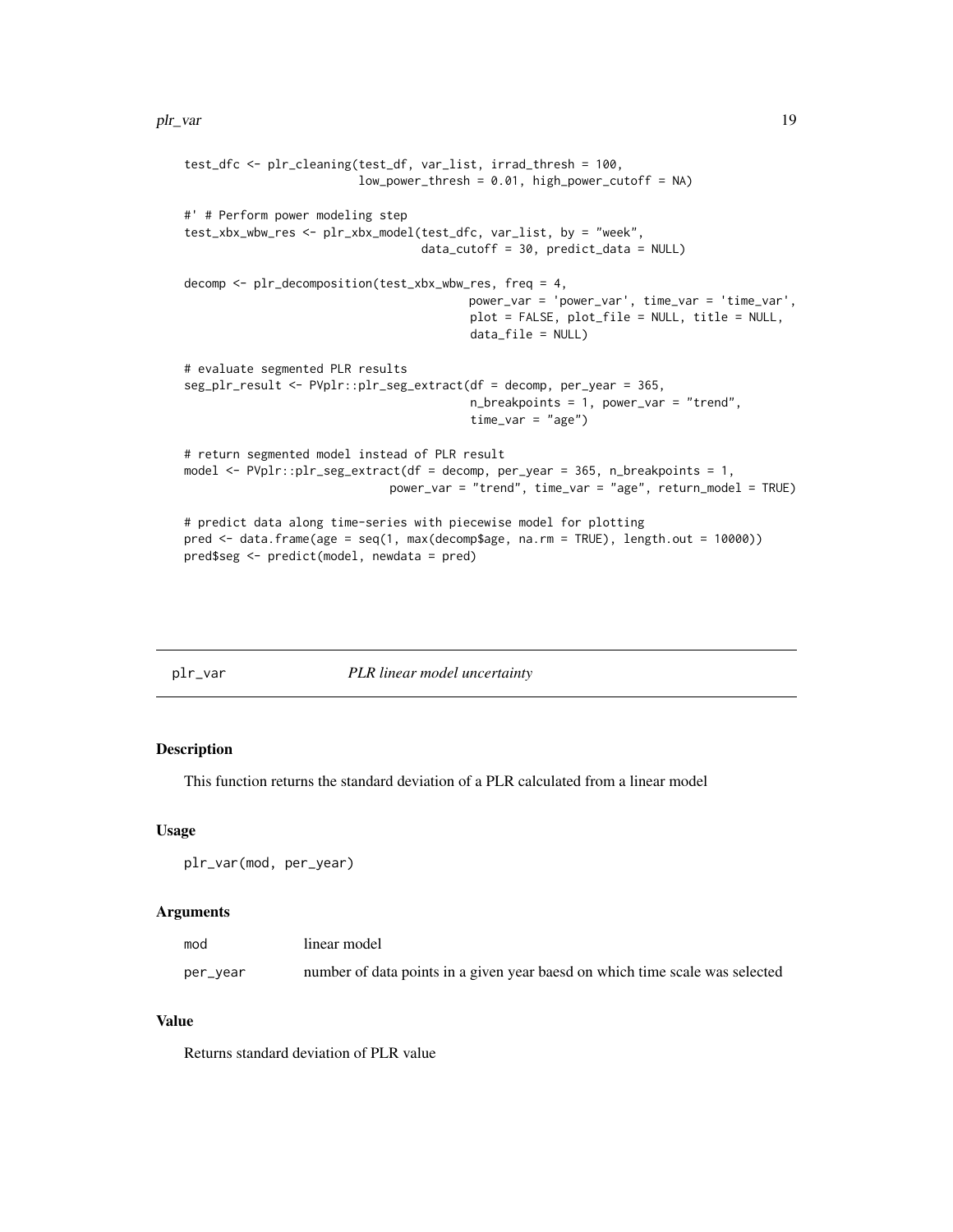#### <span id="page-18-0"></span>plr\_var the contract of the contract of the contract of the contract of the contract of the contract of the contract of the contract of the contract of the contract of the contract of the contract of the contract of the co

```
test_dfc <- plr_cleaning(test_df, var_list, irrad_thresh = 100,
                         low\_power\_thresh = 0.01, high\_power\_cutoff = NA)
#' # Perform power modeling step
test_xbx_wbw_res <- plr_xbx_model(test_dfc, var_list, by = "week",
                                  data_cutoff = 30, predict_data = NULL)
decomp <- plr_decomposition(test_xbx_wbw_res, freq = 4,
                                         power_var = 'power_var', time_var = 'time_var',
                                         plot = FALSE, plot_file = NULL, title = NULL,
                                         data_file = NULL)
# evaluate segmented PLR results
seg_plr_result <- PVplr::plr_seg_extract(df = decomp, per_year = 365,
                                         n_breakpoints = 1, power_var = "trend",
                                         time_var = "age")
# return segmented model instead of PLR result
model <- PVplr::plr_seg_extract(df = decomp, per_year = 365, n_breakpoints = 1,
                             power_var = "trend", time_var = "age", return_model = TRUE)
# predict data along time-series with piecewise model for plotting
pred <- data.frame(age = seq(1, max(decomp$age, na.rm = TRUE), length.out = 10000))
pred$seg <- predict(model, newdata = pred)
```

| pir | var |  |
|-----|-----|--|
|     |     |  |

#### plr\_var *PLR linear model uncertainty*

# Description

This function returns the standard deviation of a PLR calculated from a linear model

# Usage

plr\_var(mod, per\_year)

# Arguments

| mod      | linear model                                                                 |
|----------|------------------------------------------------------------------------------|
| per_year | number of data points in a given year baesd on which time scale was selected |

#### Value

Returns standard deviation of PLR value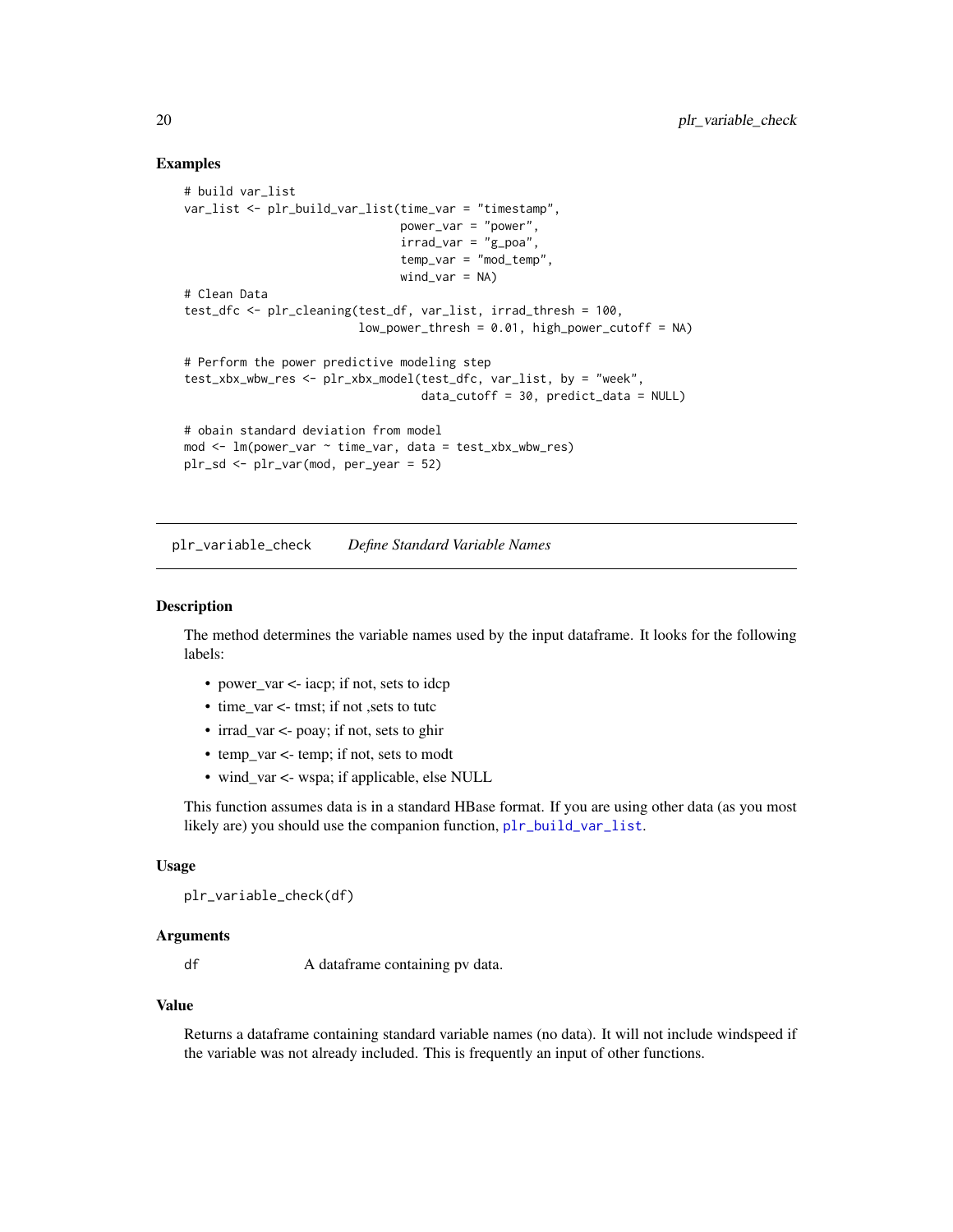## Examples

```
# build var_list
var_list <- plr_build_var_list(time_var = "timestamp",
                                power_var = "power",
                                irrad_var = "g_poa",
                                temp_var = "mod_temp",
                                wind\_var = NA)# Clean Data
test_dfc <- plr_cleaning(test_df, var_list, irrad_thresh = 100,
                          low\_power\_thresh = 0.01, high_power_cutoff = NA)
# Perform the power predictive modeling step
test_xbx_wbw_res <- plr_xbx_model(test_dfc, var_list, by = "week",
                                   data_cutoff = 30, predict_data = NULL)
# obain standard deviation from model
mod \le - \ln(power\_var \sim time\_var, data = test\_xbx\_wbw\_res)plr_sd <- plr_var(mod, per_year = 52)
```
<span id="page-19-1"></span>plr\_variable\_check *Define Standard Variable Names*

# **Description**

The method determines the variable names used by the input dataframe. It looks for the following labels:

- power\_var <- iacp; if not, sets to idcp
- time\_var <- tmst; if not , sets to tute
- irrad\_var <- poay; if not, sets to ghir
- temp\_var <- temp; if not, sets to modt
- wind\_var <- wspa; if applicable, else NULL

This function assumes data is in a standard HBase format. If you are using other data (as you most likely are) you should use the companion function, [plr\\_build\\_var\\_list](#page-9-1).

#### Usage

```
plr_variable_check(df)
```
#### Arguments

df A dataframe containing pv data.

#### Value

Returns a dataframe containing standard variable names (no data). It will not include windspeed if the variable was not already included. This is frequently an input of other functions.

<span id="page-19-0"></span>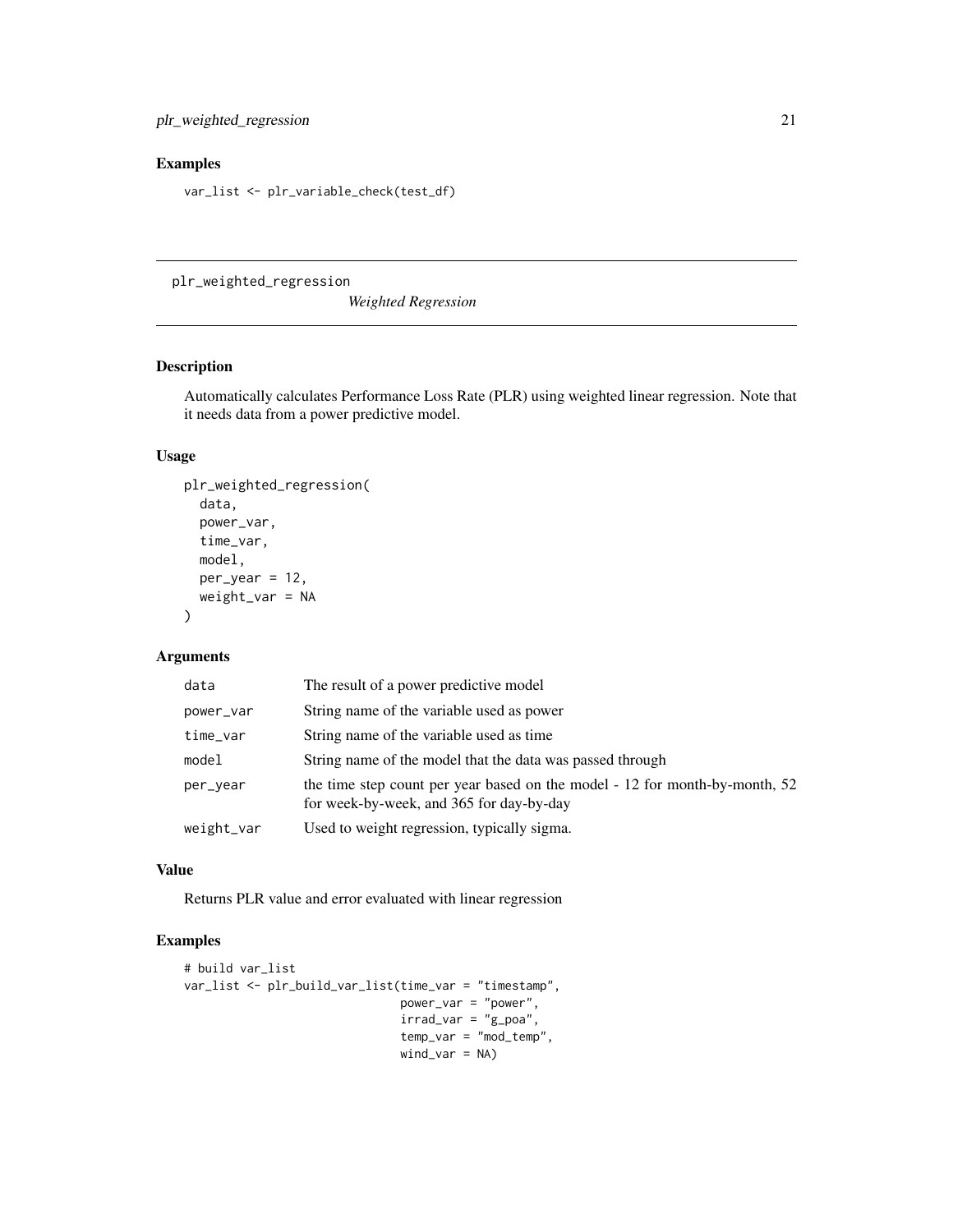# <span id="page-20-0"></span>Examples

var\_list <- plr\_variable\_check(test\_df)

<span id="page-20-1"></span>plr\_weighted\_regression

*Weighted Regression*

# Description

Automatically calculates Performance Loss Rate (PLR) using weighted linear regression. Note that it needs data from a power predictive model.

# Usage

```
plr_weighted_regression(
  data,
 power_var,
  time_var,
 model,
 per\_year = 12,
 weight_var = NA
)
```
#### Arguments

| data       | The result of a power predictive model                                                                                  |
|------------|-------------------------------------------------------------------------------------------------------------------------|
| power_var  | String name of the variable used as power                                                                               |
| time_var   | String name of the variable used as time                                                                                |
| model      | String name of the model that the data was passed through                                                               |
| per_year   | the time step count per year based on the model - 12 for month-by-month, 52<br>for week-by-week, and 365 for day-by-day |
| weight_var | Used to weight regression, typically sigma.                                                                             |

#### Value

Returns PLR value and error evaluated with linear regression

```
# build var_list
var_list <- plr_build_var_list(time_var = "timestamp",
                               power_var = "power",
                               irrad\_var = "g\_poa",temp_var = "mod_temp",
                               wind_var = NA)
```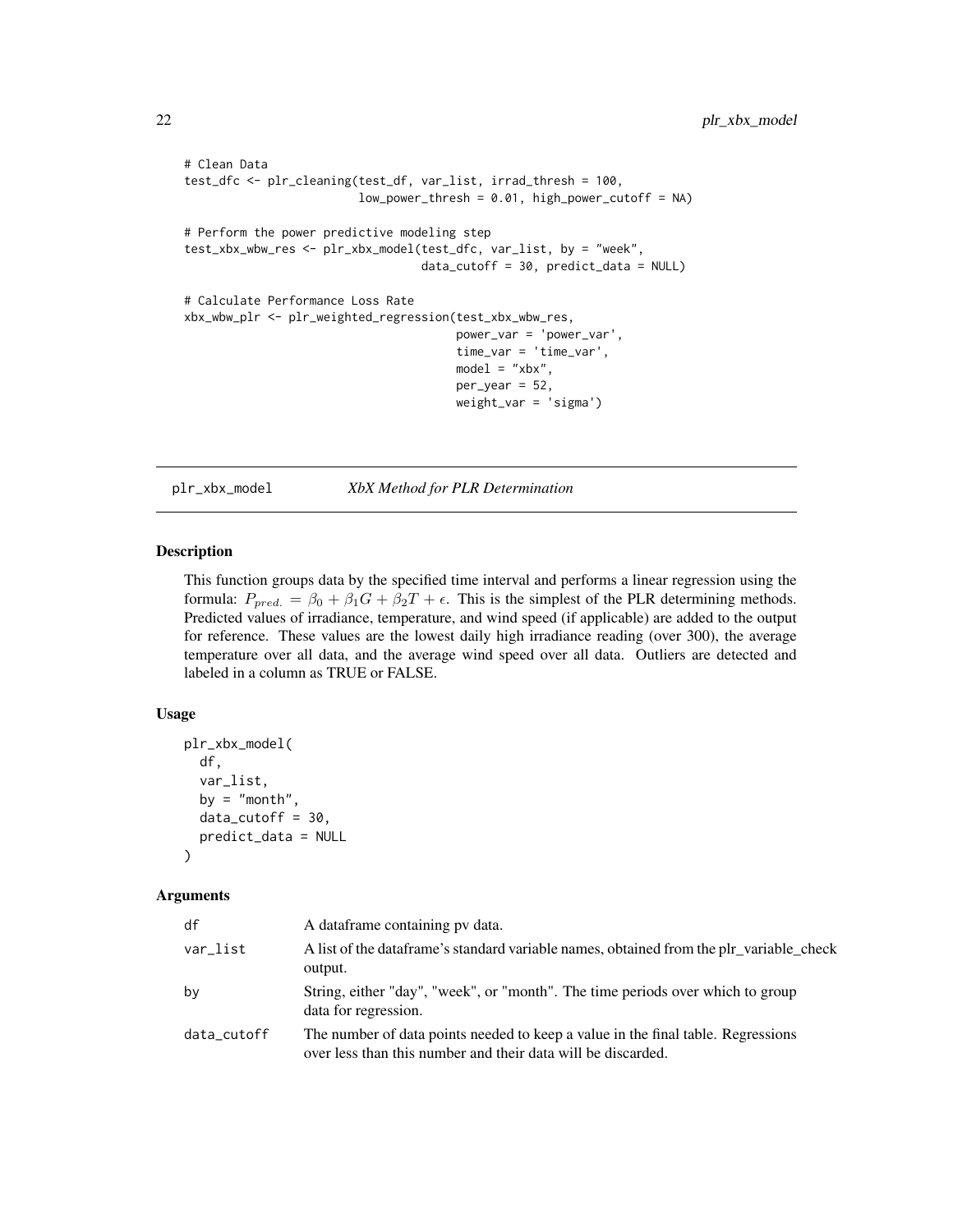```
# Clean Data
test_dfc <- plr_cleaning(test_df, var_list, irrad_thresh = 100,
                         low_power_thresh = 0.01, high_power_cutoff = NA)
# Perform the power predictive modeling step
test_xbx_wbw_res <- plr_xbx_model(test_dfc, var_list, by = "week",
                                  data_cutoff = 30, predict_data = NULL)
# Calculate Performance Loss Rate
xbx_wbw_plr <- plr_weighted_regression(test_xbx_wbw_res,
                                       power_var = 'power_var',
                                       time_var = 'time_var',
                                       model = "xbx",per\_year = 52,
                                       weight_var = 'sigma')
```
<span id="page-21-1"></span>plr\_xbx\_model *XbX Method for PLR Determination*

#### Description

This function groups data by the specified time interval and performs a linear regression using the formula:  $P_{pred.} = \beta_0 + \beta_1 G + \beta_2 T + \epsilon$ . This is the simplest of the PLR determining methods. Predicted values of irradiance, temperature, and wind speed (if applicable) are added to the output for reference. These values are the lowest daily high irradiance reading (over 300), the average temperature over all data, and the average wind speed over all data. Outliers are detected and labeled in a column as TRUE or FALSE.

# Usage

```
plr_xbx_model(
 df,
  var_list,
 by = "month",
 data_cutoff = 30,
 predict_data = NULL
)
```
#### **Arguments**

| df          | A dataframe containing py data.                                                                                                                  |
|-------------|--------------------------------------------------------------------------------------------------------------------------------------------------|
| var list    | A list of the data frame's standard variable names, obtained from the plr_variable_check<br>output.                                              |
| bν          | String, either "day", "week", or "month". The time periods over which to group<br>data for regression.                                           |
| data_cutoff | The number of data points needed to keep a value in the final table. Regressions<br>over less than this number and their data will be discarded. |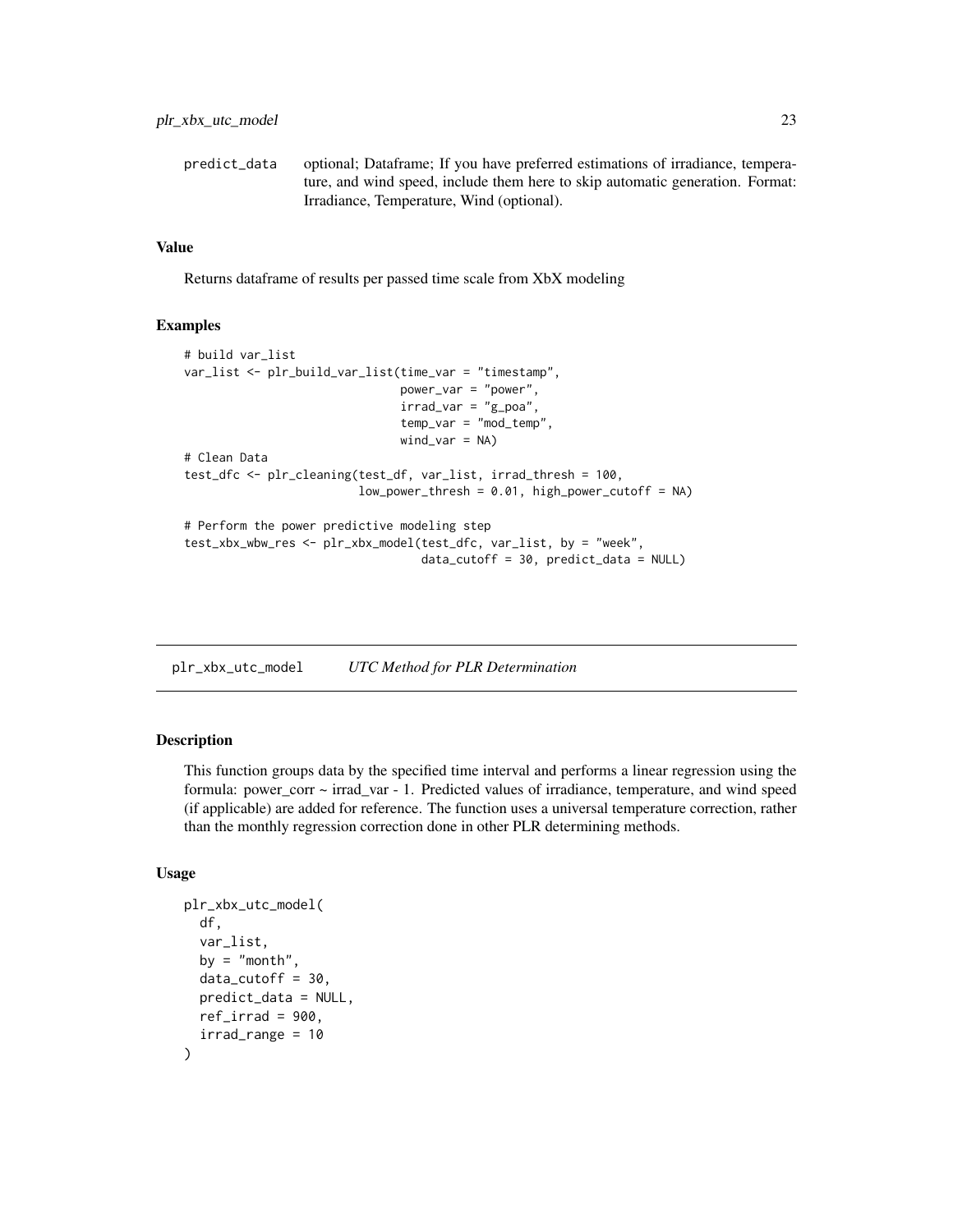<span id="page-22-0"></span>

| predict data | optional; Dataframe; If you have preferred estimations of irradiance, tempera- |
|--------------|--------------------------------------------------------------------------------|
|              | ture, and wind speed, include them here to skip automatic generation. Format:  |
|              | Irradiance, Temperature, Wind (optional).                                      |

# Value

Returns dataframe of results per passed time scale from XbX modeling

# Examples

```
# build var_list
var_list <- plr_build_var_list(time_var = "timestamp",
                               power_var = "power",
                               irrad\_var = "g\_poa",temp_var = "mod_temp",
                               wind\_var = NA)
# Clean Data
test_dfc <- plr_cleaning(test_df, var_list, irrad_thresh = 100,
                         low_power_thresh = 0.01, high_power_cutoff = NA)
# Perform the power predictive modeling step
test_xbx_wbw_res <- plr_xbx_model(test_dfc, var_list, by = "week",
                                  data_cutoff = 30, predict_data = NULL)
```
<span id="page-22-1"></span>plr\_xbx\_utc\_model *UTC Method for PLR Determination*

# Description

This function groups data by the specified time interval and performs a linear regression using the formula: power\_corr ~ irrad\_var - 1. Predicted values of irradiance, temperature, and wind speed (if applicable) are added for reference. The function uses a universal temperature correction, rather than the monthly regression correction done in other PLR determining methods.

# Usage

```
plr_xbx_utc_model(
  df,
  var_list,
 by = "month",
 data_cutoff = 30,predict_data = NULL,
 ref\_irrad = 900,irrad_range = 10
)
```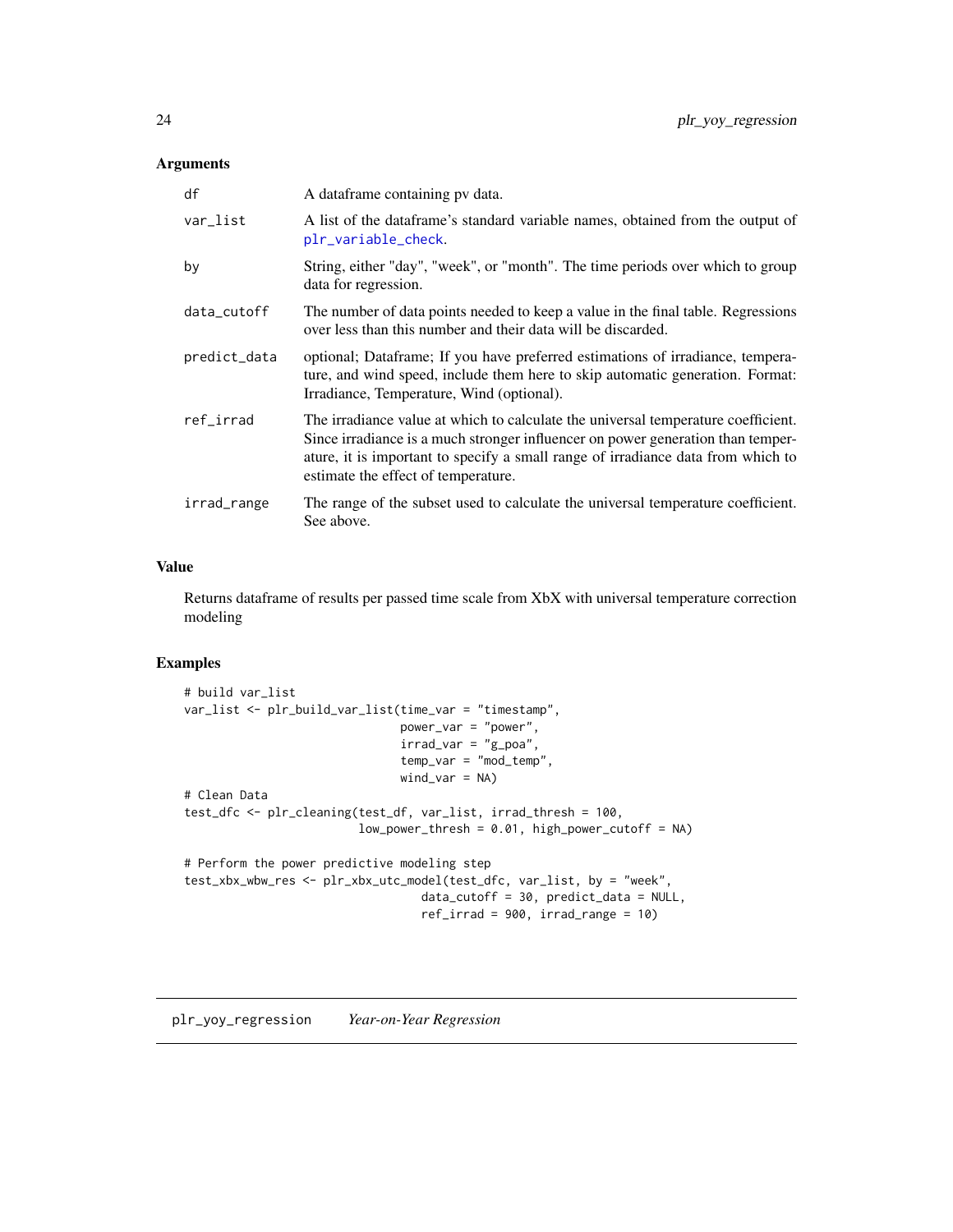# <span id="page-23-0"></span>Arguments

| df           | A dataframe containing pv data.                                                                                                                                                                                                                                                                 |
|--------------|-------------------------------------------------------------------------------------------------------------------------------------------------------------------------------------------------------------------------------------------------------------------------------------------------|
| var_list     | A list of the data frame's standard variable names, obtained from the output of<br>plr_variable_check.                                                                                                                                                                                          |
| by           | String, either "day", "week", or "month". The time periods over which to group<br>data for regression.                                                                                                                                                                                          |
| data_cutoff  | The number of data points needed to keep a value in the final table. Regressions<br>over less than this number and their data will be discarded.                                                                                                                                                |
| predict_data | optional; Dataframe; If you have preferred estimations of irradiance, tempera-<br>ture, and wind speed, include them here to skip automatic generation. Format:<br>Irradiance, Temperature, Wind (optional).                                                                                    |
| ref_irrad    | The irradiance value at which to calculate the universal temperature coefficient.<br>Since irradiance is a much stronger influencer on power generation than temper-<br>ature, it is important to specify a small range of irradiance data from which to<br>estimate the effect of temperature. |
| irrad_range  | The range of the subset used to calculate the universal temperature coefficient.<br>See above.                                                                                                                                                                                                  |

# Value

Returns dataframe of results per passed time scale from XbX with universal temperature correction modeling

```
# build var_list
var_list <- plr_build_var_list(time_var = "timestamp",
                               power_var = "power",
                               irrad_var = "g_poa",
                               temp_var = "mod_temp",
                               wind_var = NA)
# Clean Data
test_dfc <- plr_cleaning(test_df, var_list, irrad_thresh = 100,
                         low_power_thresh = 0.01, high_power_cutoff = NA)
# Perform the power predictive modeling step
test_xbx_wbw_res <- plr_xbx_utc_model(test_dfc, var_list, by = "week",
                                  data_cutoff = 30, predict_data = NULL,
                                  ref_irrad = 900, irrad_range = 10)
```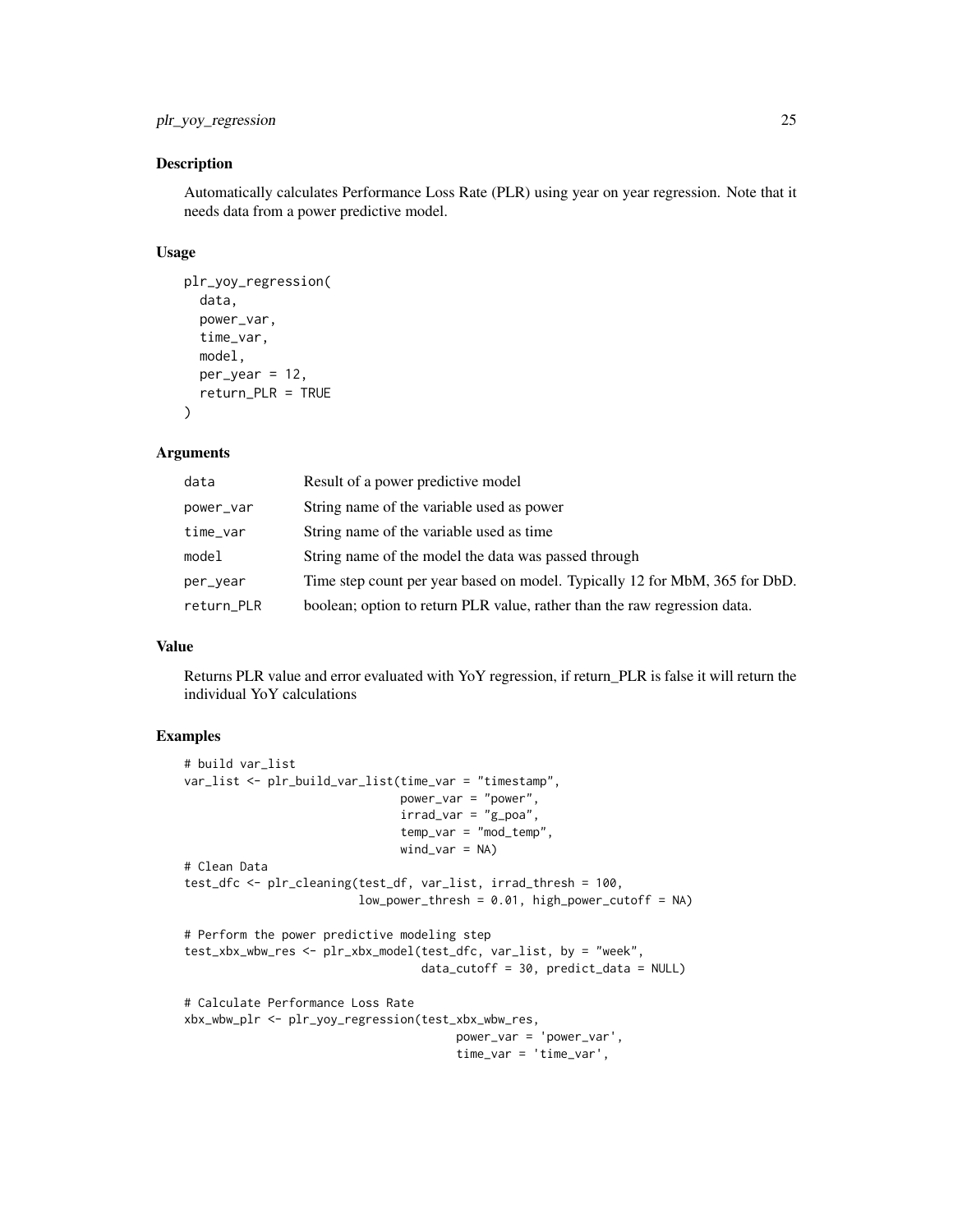# plr\_yoy\_regression 25

#### Description

Automatically calculates Performance Loss Rate (PLR) using year on year regression. Note that it needs data from a power predictive model.

#### Usage

```
plr_yoy_regression(
  data,
  power_var,
  time_var,
  model,
  per\_year = 12,
  return_PLR = TRUE
\lambda
```
# Arguments

| data       | Result of a power predictive model                                          |
|------------|-----------------------------------------------------------------------------|
| power_var  | String name of the variable used as power                                   |
| time_var   | String name of the variable used as time                                    |
| model      | String name of the model the data was passed through                        |
| per_year   | Time step count per year based on model. Typically 12 for MbM, 365 for DbD. |
| return_PLR | boolean; option to return PLR value, rather than the raw regression data.   |

# Value

Returns PLR value and error evaluated with YoY regression, if return\_PLR is false it will return the individual YoY calculations

```
# build var_list
var_list <- plr_build_var_list(time_var = "timestamp",
                               power_var = "power",
                               irrad\_var = "g\_poa",temp_var = "mod_temp",
                               wind\_var = NA)# Clean Data
test_dfc <- plr_cleaning(test_df, var_list, irrad_thresh = 100,
                         low\_power\_thresh = 0.01, high\_power\_cutoff = NA)
# Perform the power predictive modeling step
test_xbx_wbw_res <- plr_xbx_model(test_dfc, var_list, by = "week",
                                  data_cutoff = 30, predict_data = NULL)
# Calculate Performance Loss Rate
xbx_wbw_plr <- plr_yoy_regression(test_xbx_wbw_res,
                                       power_var = 'power_var',
                                       time_var = 'time_var',
```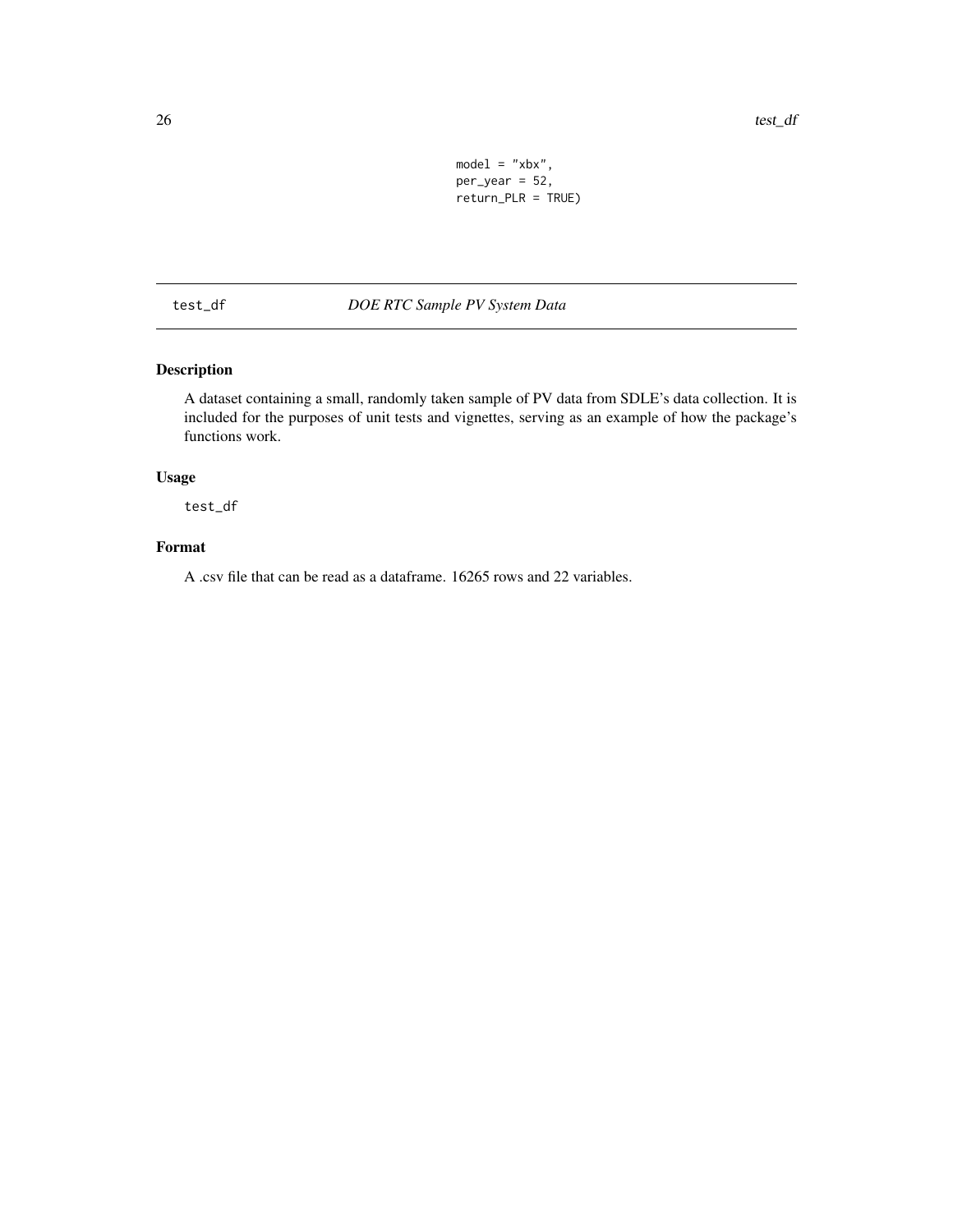```
model = "xbx",per\_year = 52,
return_PLR = TRUE)
```
<span id="page-25-0"></span>test\_df *DOE RTC Sample PV System Data*

# Description

A dataset containing a small, randomly taken sample of PV data from SDLE's data collection. It is included for the purposes of unit tests and vignettes, serving as an example of how the package's functions work.

# Usage

test\_df

# Format

A .csv file that can be read as a dataframe. 16265 rows and 22 variables.